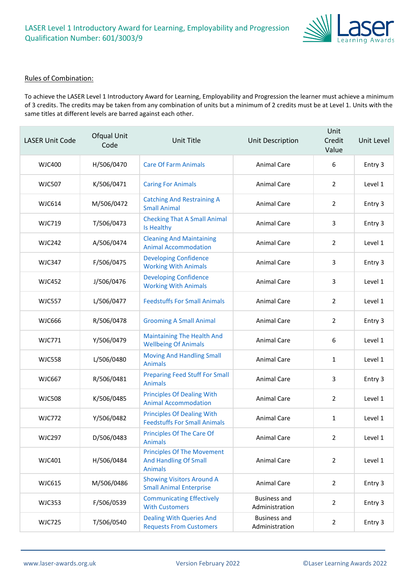

#### Rules of Combination:

To achieve the LASER Level 1 Introductory Award for Learning, Employability and Progression the learner must achieve a minimum of 3 credits. The credits may be taken from any combination of units but a minimum of 2 credits must be at Level 1. Units with the same titles at different levels are barred against each other.

| <b>LASER Unit Code</b> | Ofqual Unit<br>Code | Unit Title                                                                          | Unit Description                      | Unit<br>Credit<br>Value | Unit Level |
|------------------------|---------------------|-------------------------------------------------------------------------------------|---------------------------------------|-------------------------|------------|
| <b>WJC400</b>          | H/506/0470          | <b>Care Of Farm Animals</b>                                                         | <b>Animal Care</b>                    | 6                       | Entry 3    |
| <b>WJC507</b>          | K/506/0471          | <b>Caring For Animals</b>                                                           | <b>Animal Care</b>                    | $\overline{2}$          | Level 1    |
| <b>WJC614</b>          | M/506/0472          | <b>Catching And Restraining A</b><br><b>Small Animal</b>                            | Animal Care                           | $\overline{2}$          | Entry 3    |
| <b>WJC719</b>          | T/506/0473          | <b>Checking That A Small Animal</b><br>Is Healthy                                   | <b>Animal Care</b>                    | 3                       | Entry 3    |
| <b>WJC242</b>          | A/506/0474          | <b>Cleaning And Maintaining</b><br><b>Animal Accommodation</b>                      | <b>Animal Care</b>                    | $\overline{2}$          | Level 1    |
| <b>WJC347</b>          | F/506/0475          | <b>Developing Confidence</b><br><b>Working With Animals</b>                         | Animal Care                           | 3                       | Entry 3    |
| <b>WJC452</b>          | J/506/0476          | <b>Developing Confidence</b><br><b>Working With Animals</b>                         | <b>Animal Care</b>                    | 3                       | Level 1    |
| <b>WJC557</b>          | L/506/0477          | <b>Feedstuffs For Small Animals</b>                                                 | <b>Animal Care</b>                    | $\overline{2}$          | Level 1    |
| <b>WJC666</b>          | R/506/0478          | <b>Grooming A Small Animal</b>                                                      | Animal Care                           | $\overline{2}$          | Entry 3    |
| <b>WJC771</b>          | Y/506/0479          | <b>Maintaining The Health And</b><br><b>Wellbeing Of Animals</b>                    | <b>Animal Care</b>                    | 6                       | Level 1    |
| <b>WJC558</b>          | L/506/0480          | <b>Moving And Handling Small</b><br><b>Animals</b>                                  | <b>Animal Care</b>                    | $\mathbf{1}$            | Level 1    |
| <b>WJC667</b>          | R/506/0481          | <b>Preparing Feed Stuff For Small</b><br><b>Animals</b>                             | Animal Care                           | 3                       | Entry 3    |
| <b>WJC508</b>          | K/506/0485          | <b>Principles Of Dealing With</b><br><b>Animal Accommodation</b>                    | <b>Animal Care</b>                    | $\overline{2}$          | Level 1    |
| <b>WJC772</b>          | Y/506/0482          | <b>Principles Of Dealing With</b><br><b>Feedstuffs For Small Animals</b>            | <b>Animal Care</b>                    | $\mathbf{1}$            | Level 1    |
| <b>WJC297</b>          | D/506/0483          | Principles Of The Care Of<br><b>Animals</b>                                         | <b>Animal Care</b>                    | 2                       | Level 1    |
| <b>WJC401</b>          | H/506/0484          | <b>Principles Of The Movement</b><br><b>And Handling Of Small</b><br><b>Animals</b> | Animal Care                           | $\overline{2}$          | Level 1    |
| <b>WJC615</b>          | M/506/0486          | <b>Showing Visitors Around A</b><br><b>Small Animal Enterprise</b>                  | Animal Care                           | $\overline{2}$          | Entry 3    |
| <b>WJC353</b>          | F/506/0539          | <b>Communicating Effectively</b><br><b>With Customers</b>                           | <b>Business and</b><br>Administration | $\overline{2}$          | Entry 3    |
| <b>WJC725</b>          | T/506/0540          | <b>Dealing With Queries And</b><br><b>Requests From Customers</b>                   | <b>Business and</b><br>Administration | $\overline{2}$          | Entry 3    |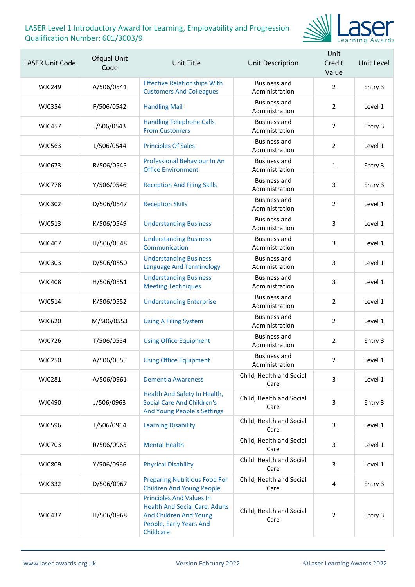

| <b>LASER Unit Code</b> | Ofqual Unit<br>Code | <b>Unit Title</b>                                                                                                                          | Unit Description                      | Unit<br>Credit<br>Value | Unit Level |
|------------------------|---------------------|--------------------------------------------------------------------------------------------------------------------------------------------|---------------------------------------|-------------------------|------------|
| <b>WJC249</b>          | A/506/0541          | <b>Effective Relationships With</b><br><b>Customers And Colleagues</b>                                                                     | <b>Business and</b><br>Administration | $\overline{2}$          | Entry 3    |
| <b>WJC354</b>          | F/506/0542          | <b>Handling Mail</b>                                                                                                                       | <b>Business and</b><br>Administration | $\overline{2}$          | Level 1    |
| <b>WJC457</b>          | J/506/0543          | <b>Handling Telephone Calls</b><br><b>From Customers</b>                                                                                   | <b>Business and</b><br>Administration | $\overline{2}$          | Entry 3    |
| <b>WJC563</b>          | L/506/0544          | <b>Principles Of Sales</b>                                                                                                                 | <b>Business and</b><br>Administration | $\overline{2}$          | Level 1    |
| WJC673                 | R/506/0545          | <b>Professional Behaviour In An</b><br><b>Office Environment</b>                                                                           | <b>Business and</b><br>Administration | $\mathbf{1}$            | Entry 3    |
| <b>WJC778</b>          | Y/506/0546          | <b>Reception And Filing Skills</b>                                                                                                         | <b>Business and</b><br>Administration | 3                       | Entry 3    |
| <b>WJC302</b>          | D/506/0547          | <b>Reception Skills</b>                                                                                                                    | <b>Business and</b><br>Administration | $\overline{2}$          | Level 1    |
| <b>WJC513</b>          | K/506/0549          | <b>Understanding Business</b>                                                                                                              | <b>Business and</b><br>Administration | 3                       | Level 1    |
| <b>WJC407</b>          | H/506/0548          | <b>Understanding Business</b><br>Communication                                                                                             | <b>Business and</b><br>Administration | 3                       | Level 1    |
| <b>WJC303</b>          | D/506/0550          | <b>Understanding Business</b><br><b>Language And Terminology</b>                                                                           | <b>Business and</b><br>Administration | 3                       | Level 1    |
| <b>WJC408</b>          | H/506/0551          | <b>Understanding Business</b><br><b>Meeting Techniques</b>                                                                                 | <b>Business and</b><br>Administration | $\overline{3}$          | Level 1    |
| <b>WJC514</b>          | K/506/0552          | <b>Understanding Enterprise</b>                                                                                                            | <b>Business and</b><br>Administration | $\overline{2}$          | Level 1    |
| <b>WJC620</b>          | M/506/0553          | <b>Using A Filing System</b>                                                                                                               | <b>Business and</b><br>Administration | $\overline{2}$          | Level 1    |
| <b>WJC726</b>          | T/506/0554          | <b>Using Office Equipment</b>                                                                                                              | <b>Business and</b><br>Administration | $\overline{2}$          | Entry 3    |
| <b>WJC250</b>          | A/506/0555          | <b>Using Office Equipment</b>                                                                                                              | <b>Business and</b><br>Administration | $\mathbf{2}$            | Level 1    |
| <b>WJC281</b>          | A/506/0961          | <b>Dementia Awareness</b>                                                                                                                  | Child, Health and Social<br>Care      | 3                       | Level 1    |
| <b>WJC490</b>          | J/506/0963          | Health And Safety In Health,<br><b>Social Care And Children's</b><br>And Young People's Settings                                           | Child, Health and Social<br>Care      | 3                       | Entry 3    |
| <b>WJC596</b>          | L/506/0964          | <b>Learning Disability</b>                                                                                                                 | Child, Health and Social<br>Care      | 3                       | Level 1    |
| <b>WJC703</b>          | R/506/0965          | <b>Mental Health</b>                                                                                                                       | Child, Health and Social<br>Care      | 3                       | Level 1    |
| <b>WJC809</b>          | Y/506/0966          | <b>Physical Disability</b>                                                                                                                 | Child, Health and Social<br>Care      | 3                       | Level 1    |
| <b>WJC332</b>          | D/506/0967          | <b>Preparing Nutritious Food For</b><br><b>Children And Young People</b>                                                                   | Child, Health and Social<br>Care      | 4                       | Entry 3    |
| <b>WJC437</b>          | H/506/0968          | <b>Principles And Values In</b><br><b>Health And Social Care, Adults</b><br>And Children And Young<br>People, Early Years And<br>Childcare | Child, Health and Social<br>Care      | $\overline{2}$          | Entry 3    |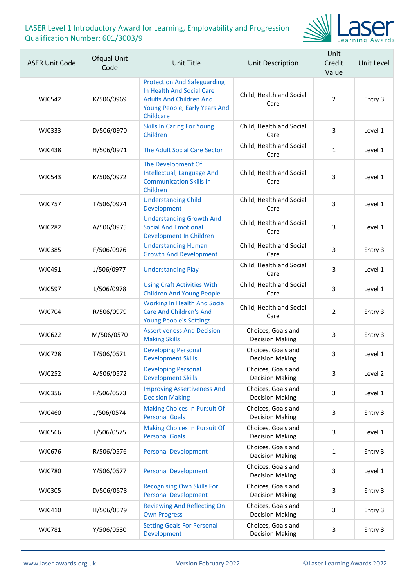

| <b>LASER Unit Code</b> | Ofqual Unit<br>Code | Unit Title                                                                                                                                      | Unit Description                             | Unit<br>Credit<br>Value | Unit Level |
|------------------------|---------------------|-------------------------------------------------------------------------------------------------------------------------------------------------|----------------------------------------------|-------------------------|------------|
| <b>WJC542</b>          | K/506/0969          | <b>Protection And Safeguarding</b><br>In Health And Social Care<br><b>Adults And Children And</b><br>Young People, Early Years And<br>Childcare | Child, Health and Social<br>Care             | $\overline{2}$          | Entry 3    |
| <b>WJC333</b>          | D/506/0970          | <b>Skills In Caring For Young</b><br>Children                                                                                                   | Child, Health and Social<br>Care             | 3                       | Level 1    |
| <b>WJC438</b>          | H/506/0971          | The Adult Social Care Sector                                                                                                                    | Child, Health and Social<br>Care             | $\mathbf{1}$            | Level 1    |
| <b>WJC543</b>          | K/506/0972          | The Development Of<br>Intellectual, Language And<br><b>Communication Skills In</b><br>Children                                                  | Child, Health and Social<br>Care             | 3                       | Level 1    |
| <b>WJC757</b>          | T/506/0974          | <b>Understanding Child</b><br>Development                                                                                                       | Child, Health and Social<br>Care             | 3                       | Level 1    |
| <b>WJC282</b>          | A/506/0975          | <b>Understanding Growth And</b><br><b>Social And Emotional</b><br>Development In Children                                                       | Child, Health and Social<br>Care             | 3                       | Level 1    |
| <b>WJC385</b>          | F/506/0976          | <b>Understanding Human</b><br><b>Growth And Development</b>                                                                                     | Child, Health and Social<br>Care             | 3                       | Entry 3    |
| <b>WJC491</b>          | J/506/0977          | <b>Understanding Play</b>                                                                                                                       | Child, Health and Social<br>Care             | 3                       | Level 1    |
| <b>WJC597</b>          | L/506/0978          | <b>Using Craft Activities With</b><br><b>Children And Young People</b>                                                                          | Child, Health and Social<br>Care             | 3                       | Level 1    |
| <b>WJC704</b>          | R/506/0979          | <b>Working In Health And Social</b><br><b>Care And Children's And</b><br><b>Young People's Settings</b>                                         | Child, Health and Social<br>Care             | $\overline{2}$          | Entry 3    |
| <b>WJC622</b>          | M/506/0570          | <b>Assertiveness And Decision</b><br><b>Making Skills</b>                                                                                       | Choices, Goals and<br><b>Decision Making</b> | 3                       | Entry 3    |
| <b>WJC728</b>          | T/506/0571          | <b>Developing Personal</b><br><b>Development Skills</b>                                                                                         | Choices, Goals and<br><b>Decision Making</b> | 3                       | Level 1    |
| <b>WJC252</b>          | A/506/0572          | <b>Developing Personal</b><br><b>Development Skills</b>                                                                                         | Choices, Goals and<br><b>Decision Making</b> | 3                       | Level 2    |
| <b>WJC356</b>          | F/506/0573          | <b>Improving Assertiveness And</b><br><b>Decision Making</b>                                                                                    | Choices, Goals and<br><b>Decision Making</b> | 3                       | Level 1    |
| <b>WJC460</b>          | J/506/0574          | Making Choices In Pursuit Of<br><b>Personal Goals</b>                                                                                           | Choices, Goals and<br><b>Decision Making</b> | 3                       | Entry 3    |
| <b>WJC566</b>          | L/506/0575          | Making Choices In Pursuit Of<br><b>Personal Goals</b>                                                                                           | Choices, Goals and<br><b>Decision Making</b> | 3                       | Level 1    |
| <b>WJC676</b>          | R/506/0576          | <b>Personal Development</b>                                                                                                                     | Choices, Goals and<br><b>Decision Making</b> | 1                       | Entry 3    |
| <b>WJC780</b>          | Y/506/0577          | <b>Personal Development</b>                                                                                                                     | Choices, Goals and<br><b>Decision Making</b> | 3                       | Level 1    |
| <b>WJC305</b>          | D/506/0578          | <b>Recognising Own Skills For</b><br><b>Personal Development</b>                                                                                | Choices, Goals and<br><b>Decision Making</b> | 3                       | Entry 3    |
| <b>WJC410</b>          | H/506/0579          | <b>Reviewing And Reflecting On</b><br><b>Own Progress</b>                                                                                       | Choices, Goals and<br><b>Decision Making</b> | 3                       | Entry 3    |
| <b>WJC781</b>          | Y/506/0580          | <b>Setting Goals For Personal</b><br>Development                                                                                                | Choices, Goals and<br><b>Decision Making</b> | 3                       | Entry 3    |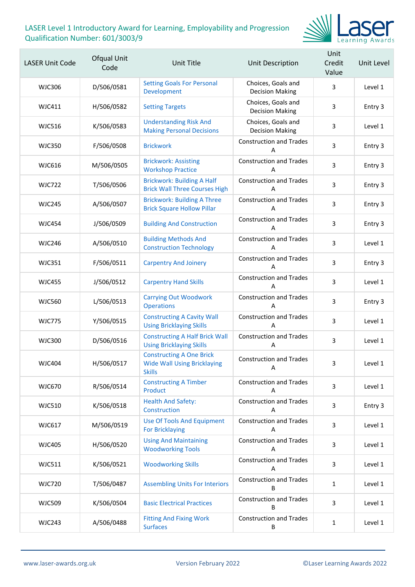

| <b>LASER Unit Code</b> | Ofqual Unit<br>Code | Unit Title                                                                             | Unit Description                             | Unit<br>Credit<br>Value | Unit Level |
|------------------------|---------------------|----------------------------------------------------------------------------------------|----------------------------------------------|-------------------------|------------|
| <b>WJC306</b>          | D/506/0581          | <b>Setting Goals For Personal</b><br>Development                                       | Choices, Goals and<br><b>Decision Making</b> | 3                       | Level 1    |
| WJC411                 | H/506/0582          | <b>Setting Targets</b>                                                                 | Choices, Goals and<br><b>Decision Making</b> | 3                       | Entry 3    |
| <b>WJC516</b>          | K/506/0583          | <b>Understanding Risk And</b><br><b>Making Personal Decisions</b>                      | Choices, Goals and<br><b>Decision Making</b> | 3                       | Level 1    |
| <b>WJC350</b>          | F/506/0508          | <b>Brickwork</b>                                                                       | <b>Construction and Trades</b><br>A          | 3                       | Entry 3    |
| <b>WJC616</b>          | M/506/0505          | <b>Brickwork: Assisting</b><br><b>Workshop Practice</b>                                | <b>Construction and Trades</b><br>А          | 3                       | Entry 3    |
| <b>WJC722</b>          | T/506/0506          | <b>Brickwork: Building A Half</b><br><b>Brick Wall Three Courses High</b>              | <b>Construction and Trades</b><br>A          | 3                       | Entry 3    |
| <b>WJC245</b>          | A/506/0507          | <b>Brickwork: Building A Three</b><br><b>Brick Square Hollow Pillar</b>                | <b>Construction and Trades</b><br>A          | 3                       | Entry 3    |
| <b>WJC454</b>          | J/506/0509          | <b>Building And Construction</b>                                                       | <b>Construction and Trades</b><br>A          | 3                       | Entry 3    |
| <b>WJC246</b>          | A/506/0510          | <b>Building Methods And</b><br><b>Construction Technology</b>                          | <b>Construction and Trades</b><br>A          | 3                       | Level 1    |
| <b>WJC351</b>          | F/506/0511          | <b>Carpentry And Joinery</b>                                                           | <b>Construction and Trades</b><br>Α          | 3                       | Entry 3    |
| <b>WJC455</b>          | J/506/0512          | <b>Carpentry Hand Skills</b>                                                           | <b>Construction and Trades</b><br>А          | 3                       | Level 1    |
| <b>WJC560</b>          | L/506/0513          | <b>Carrying Out Woodwork</b><br><b>Operations</b>                                      | <b>Construction and Trades</b><br>A          | 3                       | Entry 3    |
| <b>WJC775</b>          | Y/506/0515          | <b>Constructing A Cavity Wall</b><br><b>Using Bricklaying Skills</b>                   | <b>Construction and Trades</b><br>A          | 3                       | Level 1    |
| <b>WJC300</b>          | D/506/0516          | <b>Constructing A Half Brick Wall</b><br><b>Using Bricklaying Skills</b>               | <b>Construction and Trades</b><br>А          | 3                       | Level 1    |
| <b>WJC404</b>          | H/506/0517          | <b>Constructing A One Brick</b><br><b>Wide Wall Using Bricklaying</b><br><b>Skills</b> | <b>Construction and Trades</b><br>Α          | 3                       | Level 1    |
| <b>WJC670</b>          | R/506/0514          | <b>Constructing A Timber</b><br>Product                                                | <b>Construction and Trades</b><br>A          | 3                       | Level 1    |
| <b>WJC510</b>          | K/506/0518          | <b>Health And Safety:</b><br>Construction                                              | <b>Construction and Trades</b><br>A          | 3                       | Entry 3    |
| <b>WJC617</b>          | M/506/0519          | <b>Use Of Tools And Equipment</b><br><b>For Bricklaying</b>                            | <b>Construction and Trades</b><br>Α          | 3                       | Level 1    |
| <b>WJC405</b>          | H/506/0520          | <b>Using And Maintaining</b><br><b>Woodworking Tools</b>                               | <b>Construction and Trades</b><br>A          | 3                       | Level 1    |
| WJC511                 | K/506/0521          | <b>Woodworking Skills</b>                                                              | <b>Construction and Trades</b><br>A          | 3                       | Level 1    |
| <b>WJC720</b>          | T/506/0487          | <b>Assembling Units For Interiors</b>                                                  | <b>Construction and Trades</b><br>B          | $\mathbf{1}$            | Level 1    |
| <b>WJC509</b>          | K/506/0504          | <b>Basic Electrical Practices</b>                                                      | <b>Construction and Trades</b><br>B          | 3                       | Level 1    |
| <b>WJC243</b>          | A/506/0488          | <b>Fitting And Fixing Work</b><br><b>Surfaces</b>                                      | <b>Construction and Trades</b><br>B          | $\mathbf{1}$            | Level 1    |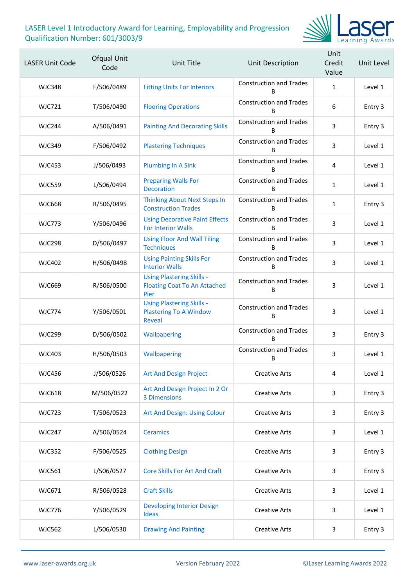

| <b>LASER Unit Code</b> | Ofqual Unit<br>Code | Unit Title                                                                      | Unit Description                    | Unit<br>Credit<br>Value | Unit Level |
|------------------------|---------------------|---------------------------------------------------------------------------------|-------------------------------------|-------------------------|------------|
| <b>WJC348</b>          | F/506/0489          | <b>Fitting Units For Interiors</b>                                              | <b>Construction and Trades</b><br>B | $\mathbf{1}$            | Level 1    |
| <b>WJC721</b>          | T/506/0490          | <b>Flooring Operations</b>                                                      | <b>Construction and Trades</b><br>B | 6                       | Entry 3    |
| WJC244                 | A/506/0491          | <b>Painting And Decorating Skills</b>                                           | <b>Construction and Trades</b><br>R | 3                       | Entry 3    |
| <b>WJC349</b>          | F/506/0492          | <b>Plastering Techniques</b>                                                    | <b>Construction and Trades</b><br>B | 3                       | Level 1    |
| <b>WJC453</b>          | J/506/0493          | <b>Plumbing In A Sink</b>                                                       | <b>Construction and Trades</b><br>B | 4                       | Level 1    |
| <b>WJC559</b>          | L/506/0494          | <b>Preparing Walls For</b><br><b>Decoration</b>                                 | <b>Construction and Trades</b><br>B | $\mathbf{1}$            | Level 1    |
| <b>WJC668</b>          | R/506/0495          | <b>Thinking About Next Steps In</b><br><b>Construction Trades</b>               | <b>Construction and Trades</b><br>B | $\mathbf{1}$            | Entry 3    |
| <b>WJC773</b>          | Y/506/0496          | <b>Using Decorative Paint Effects</b><br><b>For Interior Walls</b>              | <b>Construction and Trades</b><br>B | 3                       | Level 1    |
| <b>WJC298</b>          | D/506/0497          | <b>Using Floor And Wall Tiling</b><br><b>Techniques</b>                         | <b>Construction and Trades</b><br>B | 3                       | Level 1    |
| <b>WJC402</b>          | H/506/0498          | <b>Using Painting Skills For</b><br><b>Interior Walls</b>                       | <b>Construction and Trades</b><br>B | 3                       | Level 1    |
| <b>WJC669</b>          | R/506/0500          | <b>Using Plastering Skills -</b><br><b>Floating Coat To An Attached</b><br>Pier | <b>Construction and Trades</b><br>B | 3                       | Level 1    |
| <b>WJC774</b>          | Y/506/0501          | <b>Using Plastering Skills -</b><br><b>Plastering To A Window</b><br>Reveal     | <b>Construction and Trades</b><br>B | 3                       | Level 1    |
| <b>WJC299</b>          | D/506/0502          | Wallpapering                                                                    | <b>Construction and Trades</b><br>B | 3                       | Entry 3    |
| <b>WJC403</b>          | H/506/0503          | Wallpapering                                                                    | <b>Construction and Trades</b><br>B | 3                       | Level 1    |
| <b>WJC456</b>          | J/506/0526          | <b>Art And Design Project</b>                                                   | <b>Creative Arts</b>                | 4                       | Level 1    |
| <b>WJC618</b>          | M/506/0522          | Art And Design Project In 2 Or<br>3 Dimensions                                  | <b>Creative Arts</b>                | 3                       | Entry 3    |
| <b>WJC723</b>          | T/506/0523          | Art And Design: Using Colour                                                    | <b>Creative Arts</b>                | 3                       | Entry 3    |
| <b>WJC247</b>          | A/506/0524          | <b>Ceramics</b>                                                                 | <b>Creative Arts</b>                | 3                       | Level 1    |
| <b>WJC352</b>          | F/506/0525          | <b>Clothing Design</b>                                                          | <b>Creative Arts</b>                | 3                       | Entry 3    |
| <b>WJC561</b>          | L/506/0527          | <b>Core Skills For Art And Craft</b>                                            | <b>Creative Arts</b>                | 3                       | Entry 3    |
| WJC671                 | R/506/0528          | <b>Craft Skills</b>                                                             | <b>Creative Arts</b>                | 3                       | Level 1    |
| <b>WJC776</b>          | Y/506/0529          | <b>Developing Interior Design</b><br><b>Ideas</b>                               | <b>Creative Arts</b>                | 3                       | Level 1    |
| <b>WJC562</b>          | L/506/0530          | <b>Drawing And Painting</b>                                                     | <b>Creative Arts</b>                | 3                       | Entry 3    |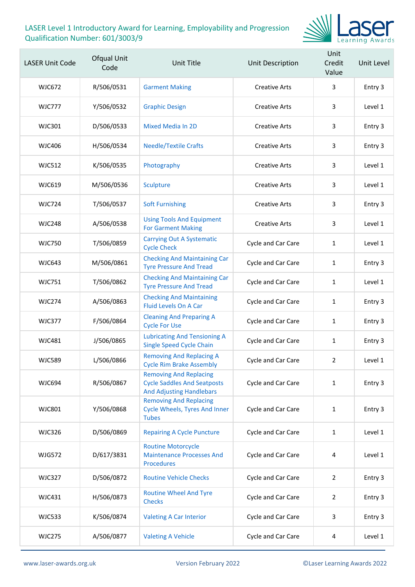

| <b>LASER Unit Code</b> | Ofqual Unit<br>Code | Unit Title                                                                                             | Unit Description     | Unit<br>Credit<br>Value | Unit Level |
|------------------------|---------------------|--------------------------------------------------------------------------------------------------------|----------------------|-------------------------|------------|
| WJC672                 | R/506/0531          | <b>Garment Making</b>                                                                                  | <b>Creative Arts</b> | 3                       | Entry 3    |
| <b>WJC777</b>          | Y/506/0532          | <b>Graphic Design</b>                                                                                  | <b>Creative Arts</b> | 3                       | Level 1    |
| WJC301                 | D/506/0533          | <b>Mixed Media In 2D</b>                                                                               | <b>Creative Arts</b> | 3                       | Entry 3    |
| <b>WJC406</b>          | H/506/0534          | <b>Needle/Textile Crafts</b>                                                                           | <b>Creative Arts</b> | 3                       | Entry 3    |
| <b>WJC512</b>          | K/506/0535          | Photography                                                                                            | <b>Creative Arts</b> | 3                       | Level 1    |
| <b>WJC619</b>          | M/506/0536          | Sculpture                                                                                              | <b>Creative Arts</b> | 3                       | Level 1    |
| <b>WJC724</b>          | T/506/0537          | <b>Soft Furnishing</b>                                                                                 | <b>Creative Arts</b> | 3                       | Entry 3    |
| <b>WJC248</b>          | A/506/0538          | <b>Using Tools And Equipment</b><br><b>For Garment Making</b>                                          | <b>Creative Arts</b> | 3                       | Level 1    |
| <b>WJC750</b>          | T/506/0859          | <b>Carrying Out A Systematic</b><br><b>Cycle Check</b>                                                 | Cycle and Car Care   | 1                       | Level 1    |
| <b>WJC643</b>          | M/506/0861          | <b>Checking And Maintaining Car</b><br><b>Tyre Pressure And Tread</b>                                  | Cycle and Car Care   | 1                       | Entry 3    |
| <b>WJC751</b>          | T/506/0862          | <b>Checking And Maintaining Car</b><br><b>Tyre Pressure And Tread</b>                                  | Cycle and Car Care   | 1                       | Level 1    |
| <b>WJC274</b>          | A/506/0863          | <b>Checking And Maintaining</b><br><b>Fluid Levels On A Car</b>                                        | Cycle and Car Care   | 1                       | Entry 3    |
| <b>WJC377</b>          | F/506/0864          | <b>Cleaning And Preparing A</b><br><b>Cycle For Use</b>                                                | Cycle and Car Care   | 1                       | Entry 3    |
| <b>WJC481</b>          | J/506/0865          | <b>Lubricating And Tensioning A</b><br><b>Single Speed Cycle Chain</b>                                 | Cycle and Car Care   | 1                       | Entry 3    |
| <b>WJC589</b>          | L/506/0866          | <b>Removing And Replacing A</b><br><b>Cycle Rim Brake Assembly</b>                                     | Cycle and Car Care   | $\mathbf{2}^{\prime}$   | Level 1    |
| <b>WJC694</b>          | R/506/0867          | <b>Removing And Replacing</b><br><b>Cycle Saddles And Seatposts</b><br><b>And Adjusting Handlebars</b> | Cycle and Car Care   | $\mathbf{1}$            | Entry 3    |
| <b>WJC801</b>          | Y/506/0868          | <b>Removing And Replacing</b><br><b>Cycle Wheels, Tyres And Inner</b><br><b>Tubes</b>                  | Cycle and Car Care   | 1                       | Entry 3    |
| <b>WJC326</b>          | D/506/0869          | <b>Repairing A Cycle Puncture</b>                                                                      | Cycle and Car Care   | $\mathbf{1}$            | Level 1    |
| <b>WJG572</b>          | D/617/3831          | <b>Routine Motorcycle</b><br><b>Maintenance Processes And</b><br><b>Procedures</b>                     | Cycle and Car Care   | 4                       | Level 1    |
| <b>WJC327</b>          | D/506/0872          | <b>Routine Vehicle Checks</b>                                                                          | Cycle and Car Care   | 2                       | Entry 3    |
| WJC431                 | H/506/0873          | <b>Routine Wheel And Tyre</b><br><b>Checks</b>                                                         | Cycle and Car Care   | $\overline{2}$          | Entry 3    |
| <b>WJC533</b>          | K/506/0874          | <b>Valeting A Car Interior</b>                                                                         | Cycle and Car Care   | 3                       | Entry 3    |
| <b>WJC275</b>          | A/506/0877          | <b>Valeting A Vehicle</b>                                                                              | Cycle and Car Care   | 4                       | Level 1    |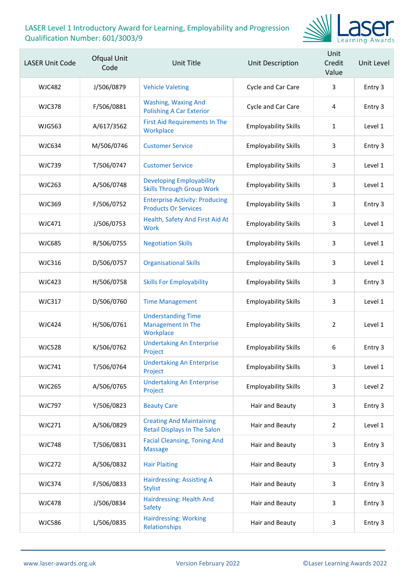

| <b>LASER Unit Code</b> | Ofqual Unit<br>Code | Unit Title                                                             | Unit Description            | Unit<br>Credit<br>Value | Unit Level |
|------------------------|---------------------|------------------------------------------------------------------------|-----------------------------|-------------------------|------------|
| <b>WJC482</b>          | J/506/0879          | <b>Vehicle Valeting</b>                                                | Cycle and Car Care          | 3                       | Entry 3    |
| <b>WJC378</b>          | F/506/0881          | <b>Washing, Waxing And</b><br><b>Polishing A Car Exterior</b>          | Cycle and Car Care          | 4                       | Entry 3    |
| <b>WJG563</b>          | A/617/3562          | <b>First Aid Requirements In The</b><br>Workplace                      | <b>Employability Skills</b> | 1                       | Level 1    |
| <b>WJC634</b>          | M/506/0746          | <b>Customer Service</b>                                                | <b>Employability Skills</b> | 3                       | Entry 3    |
| <b>WJC739</b>          | T/506/0747          | <b>Customer Service</b>                                                | <b>Employability Skills</b> | 3                       | Level 1    |
| <b>WJC263</b>          | A/506/0748          | <b>Developing Employability</b><br><b>Skills Through Group Work</b>    | <b>Employability Skills</b> | 3                       | Level 1    |
| <b>WJC369</b>          | F/506/0752          | <b>Enterprise Activity: Producing</b><br><b>Products Or Services</b>   | <b>Employability Skills</b> | 3                       | Entry 3    |
| <b>WJC471</b>          | J/506/0753          | Health, Safety And First Aid At<br><b>Work</b>                         | <b>Employability Skills</b> | 3                       | Level 1    |
| <b>WJC685</b>          | R/506/0755          | <b>Negotiation Skills</b>                                              | <b>Employability Skills</b> | 3                       | Level 1    |
| <b>WJC316</b>          | D/506/0757          | <b>Organisational Skills</b>                                           | <b>Employability Skills</b> | 3                       | Level 1    |
| <b>WJC423</b>          | H/506/0758          | <b>Skills For Employability</b>                                        | <b>Employability Skills</b> | 3                       | Entry 3    |
| <b>WJC317</b>          | D/506/0760          | <b>Time Management</b>                                                 | <b>Employability Skills</b> | 3                       | Level 1    |
| <b>WJC424</b>          | H/506/0761          | <b>Understanding Time</b><br><b>Management In The</b><br>Workplace     | <b>Employability Skills</b> | $\overline{2}$          | Level 1    |
| <b>WJC528</b>          | K/506/0762          | <b>Undertaking An Enterprise</b><br>Project                            | <b>Employability Skills</b> | 6                       | Entry 3    |
| <b>WJC741</b>          | T/506/0764          | <b>Undertaking An Enterprise</b><br>Project                            | <b>Employability Skills</b> | 3                       | Level 1    |
| <b>WJC265</b>          | A/506/0765          | <b>Undertaking An Enterprise</b><br>Project                            | <b>Employability Skills</b> | 3                       | Level 2    |
| <b>WJC797</b>          | Y/506/0823          | <b>Beauty Care</b>                                                     | Hair and Beauty             | 3                       | Entry 3    |
| <b>WJC271</b>          | A/506/0829          | <b>Creating And Maintaining</b><br><b>Retail Displays In The Salon</b> | Hair and Beauty             | $\overline{2}$          | Level 1    |
| <b>WJC748</b>          | T/506/0831          | <b>Facial Cleansing, Toning And</b><br><b>Massage</b>                  | Hair and Beauty             | 3                       | Entry 3    |
| <b>WJC272</b>          | A/506/0832          | <b>Hair Plaiting</b>                                                   | Hair and Beauty             | 3                       | Entry 3    |
| <b>WJC374</b>          | F/506/0833          | <b>Hairdressing: Assisting A</b><br><b>Stylist</b>                     | Hair and Beauty             | 3                       | Entry 3    |
| <b>WJC478</b>          | J/506/0834          | Hairdressing: Health And<br>Safety                                     | Hair and Beauty             | 3                       | Entry 3    |
| <b>WJC586</b>          | L/506/0835          | <b>Hairdressing: Working</b><br>Relationships                          | Hair and Beauty             | 3                       | Entry 3    |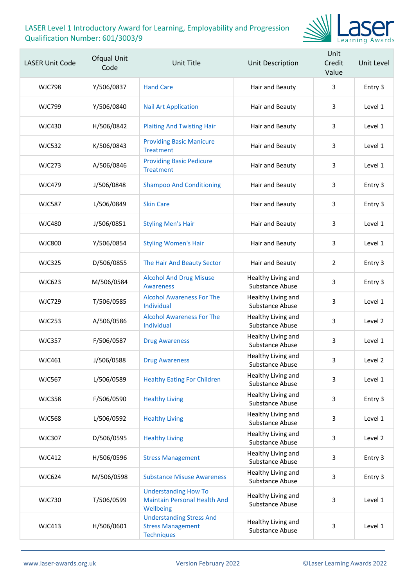

| <b>LASER Unit Code</b> | Ofqual Unit<br>Code | Unit Title                                                                       | Unit Description                             | Unit<br>Credit<br>Value | Unit Level |
|------------------------|---------------------|----------------------------------------------------------------------------------|----------------------------------------------|-------------------------|------------|
| <b>WJC798</b>          | Y/506/0837          | <b>Hand Care</b>                                                                 | Hair and Beauty                              | 3                       | Entry 3    |
| <b>WJC799</b>          | Y/506/0840          | <b>Nail Art Application</b>                                                      | Hair and Beauty                              | 3                       | Level 1    |
| <b>WJC430</b>          | H/506/0842          | <b>Plaiting And Twisting Hair</b>                                                | Hair and Beauty                              | 3                       | Level 1    |
| <b>WJC532</b>          | K/506/0843          | <b>Providing Basic Manicure</b><br><b>Treatment</b>                              | Hair and Beauty                              | 3                       | Level 1    |
| <b>WJC273</b>          | A/506/0846          | <b>Providing Basic Pedicure</b><br><b>Treatment</b>                              | Hair and Beauty                              | 3                       | Level 1    |
| <b>WJC479</b>          | J/506/0848          | <b>Shampoo And Conditioning</b>                                                  | Hair and Beauty                              | 3                       | Entry 3    |
| <b>WJC587</b>          | L/506/0849          | <b>Skin Care</b>                                                                 | Hair and Beauty                              | 3                       | Entry 3    |
| <b>WJC480</b>          | J/506/0851          | <b>Styling Men's Hair</b>                                                        | Hair and Beauty                              | 3                       | Level 1    |
| <b>WJC800</b>          | Y/506/0854          | <b>Styling Women's Hair</b>                                                      | Hair and Beauty                              | 3                       | Level 1    |
| <b>WJC325</b>          | D/506/0855          | The Hair And Beauty Sector                                                       | Hair and Beauty                              | 2                       | Entry 3    |
| <b>WJC623</b>          | M/506/0584          | <b>Alcohol And Drug Misuse</b><br><b>Awareness</b>                               | Healthy Living and<br>Substance Abuse        | 3                       | Entry 3    |
| <b>WJC729</b>          | T/506/0585          | <b>Alcohol Awareness For The</b><br>Individual                                   | Healthy Living and<br>Substance Abuse        | 3                       | Level 1    |
| <b>WJC253</b>          | A/506/0586          | <b>Alcohol Awareness For The</b><br>Individual                                   | Healthy Living and<br>Substance Abuse        | 3                       | Level 2    |
| <b>WJC357</b>          | F/506/0587          | <b>Drug Awareness</b>                                                            | Healthy Living and<br>Substance Abuse        | 3                       | Level 1    |
| <b>WJC461</b>          | J/506/0588          | <b>Drug Awareness</b>                                                            | Healthy Living and<br>Substance Abuse        | 3                       | Level 2    |
| <b>WJC567</b>          | L/506/0589          | <b>Healthy Eating For Children</b>                                               | Healthy Living and<br>Substance Abuse        | 3                       | Level 1    |
| <b>WJC358</b>          | F/506/0590          | <b>Healthy Living</b>                                                            | Healthy Living and<br>Substance Abuse        | 3                       | Entry 3    |
| <b>WJC568</b>          | L/506/0592          | <b>Healthy Living</b>                                                            | Healthy Living and<br><b>Substance Abuse</b> | 3                       | Level 1    |
| <b>WJC307</b>          | D/506/0595          | <b>Healthy Living</b>                                                            | Healthy Living and<br>Substance Abuse        | 3                       | Level 2    |
| <b>WJC412</b>          | H/506/0596          | <b>Stress Management</b>                                                         | Healthy Living and<br>Substance Abuse        | 3                       | Entry 3    |
| <b>WJC624</b>          | M/506/0598          | <b>Substance Misuse Awareness</b>                                                | Healthy Living and<br>Substance Abuse        | 3                       | Entry 3    |
| <b>WJC730</b>          | T/506/0599          | <b>Understanding How To</b><br><b>Maintain Personal Health And</b><br>Wellbeing  | Healthy Living and<br>Substance Abuse        | 3                       | Level 1    |
| <b>WJC413</b>          | H/506/0601          | <b>Understanding Stress And</b><br><b>Stress Management</b><br><b>Techniques</b> | Healthy Living and<br>Substance Abuse        | 3                       | Level 1    |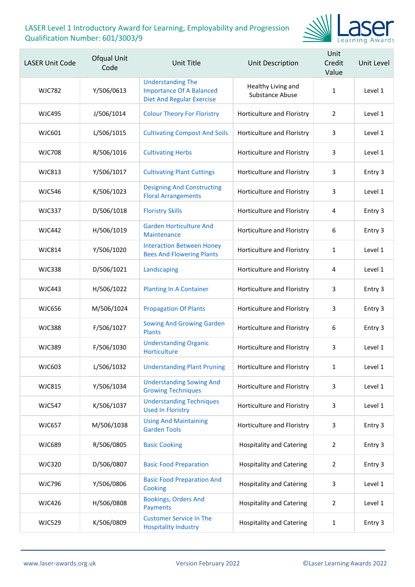

| <b>LASER Unit Code</b> | Ofqual Unit<br>Code | Unit Title                                                                                      | Unit Description                             | Unit<br>Credit<br>Value | Unit Level |
|------------------------|---------------------|-------------------------------------------------------------------------------------------------|----------------------------------------------|-------------------------|------------|
| <b>WJC782</b>          | Y/506/0613          | <b>Understanding The</b><br><b>Importance Of A Balanced</b><br><b>Diet And Regular Exercise</b> | Healthy Living and<br><b>Substance Abuse</b> | $\mathbf{1}$            | Level 1    |
| <b>WJC495</b>          | J/506/1014          | <b>Colour Theory For Floristry</b>                                                              | Horticulture and Floristry                   | $\overline{2}$          | Level 1    |
| <b>WJC601</b>          | L/506/1015          | <b>Cultivating Compost And Soils</b>                                                            | Horticulture and Floristry                   | 3                       | Level 1    |
| <b>WJC708</b>          | R/506/1016          | <b>Cultivating Herbs</b>                                                                        | Horticulture and Floristry                   | 3                       | Level 1    |
| <b>WJC813</b>          | Y/506/1017          | <b>Cultivating Plant Cuttings</b>                                                               | Horticulture and Floristry                   | 3                       | Entry 3    |
| <b>WJC546</b>          | K/506/1023          | <b>Designing And Constructing</b><br><b>Floral Arrangements</b>                                 | Horticulture and Floristry                   | 3                       | Level 1    |
| <b>WJC337</b>          | D/506/1018          | <b>Floristry Skills</b>                                                                         | Horticulture and Floristry                   | $\overline{4}$          | Entry 3    |
| <b>WJC442</b>          | H/506/1019          | <b>Garden Horticulture And</b><br>Maintenance                                                   | Horticulture and Floristry                   | 6                       | Entry 3    |
| <b>WJC814</b>          | Y/506/1020          | <b>Interaction Between Honey</b><br><b>Bees And Flowering Plants</b>                            | Horticulture and Floristry                   | 1                       | Level 1    |
| <b>WJC338</b>          | D/506/1021          | Landscaping                                                                                     | Horticulture and Floristry                   | 4                       | Level 1    |
| <b>WJC443</b>          | H/506/1022          | <b>Planting In A Container</b>                                                                  | Horticulture and Floristry                   | 3                       | Entry 3    |
| <b>WJC656</b>          | M/506/1024          | <b>Propagation Of Plants</b>                                                                    | Horticulture and Floristry                   | 3                       | Entry 3    |
| <b>WJC388</b>          | F/506/1027          | <b>Sowing And Growing Garden</b><br><b>Plants</b>                                               | Horticulture and Floristry                   | 6                       | Entry 3    |
| <b>WJC389</b>          | F/506/1030          | <b>Understanding Organic</b><br>Horticulture                                                    | Horticulture and Floristry                   | 3                       | Level 1    |
| WJC603                 | L/506/1032          | <b>Understanding Plant Pruning</b>                                                              | Horticulture and Floristry                   | 1                       | Level 1    |
| <b>WJC815</b>          | Y/506/1034          | <b>Understanding Sowing And</b><br><b>Growing Techniques</b>                                    | Horticulture and Floristry                   | 3                       | Level 1    |
| <b>WJC547</b>          | K/506/1037          | <b>Understanding Techniques</b><br><b>Used In Floristry</b>                                     | Horticulture and Floristry                   | 3                       | Level 1    |
| <b>WJC657</b>          | M/506/1038          | <b>Using And Maintaining</b><br><b>Garden Tools</b>                                             | Horticulture and Floristry                   | 3                       | Entry 3    |
| <b>WJC689</b>          | R/506/0805          | <b>Basic Cooking</b>                                                                            | <b>Hospitality and Catering</b>              | 2                       | Entry 3    |
| <b>WJC320</b>          | D/506/0807          | <b>Basic Food Preparation</b>                                                                   | <b>Hospitality and Catering</b>              | $\overline{2}$          | Entry 3    |
| <b>WJC796</b>          | Y/506/0806          | <b>Basic Food Preparation And</b><br>Cooking                                                    | <b>Hospitality and Catering</b>              | 3                       | Level 1    |
| <b>WJC426</b>          | H/506/0808          | <b>Bookings, Orders And</b><br>Payments                                                         | <b>Hospitality and Catering</b>              | $\overline{2}$          | Level 1    |
| <b>WJC529</b>          | K/506/0809          | <b>Customer Service In The</b><br><b>Hospitality Industry</b>                                   | <b>Hospitality and Catering</b>              | $\mathbf{1}$            | Entry 3    |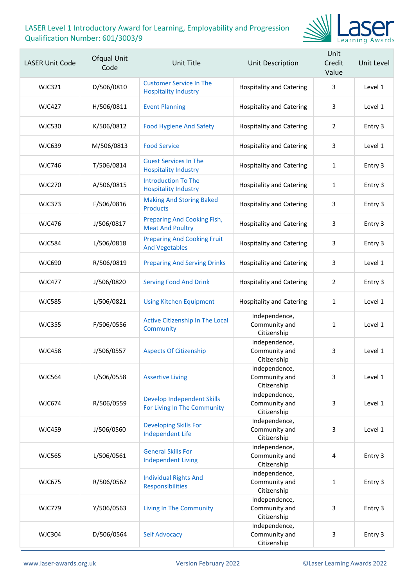

| <b>LASER Unit Code</b> | Ofqual Unit<br>Code | Unit Title                                                       | <b>Unit Description</b>                       | Unit<br>Credit<br>Value | Unit Level |
|------------------------|---------------------|------------------------------------------------------------------|-----------------------------------------------|-------------------------|------------|
| <b>WJC321</b>          | D/506/0810          | <b>Customer Service In The</b><br><b>Hospitality Industry</b>    | <b>Hospitality and Catering</b>               | 3                       | Level 1    |
| <b>WJC427</b>          | H/506/0811          | <b>Event Planning</b>                                            | <b>Hospitality and Catering</b>               | 3                       | Level 1    |
| <b>WJC530</b>          | K/506/0812          | <b>Food Hygiene And Safety</b>                                   | <b>Hospitality and Catering</b>               | $\overline{2}$          | Entry 3    |
| <b>WJC639</b>          | M/506/0813          | <b>Food Service</b>                                              | <b>Hospitality and Catering</b>               | 3                       | Level 1    |
| <b>WJC746</b>          | T/506/0814          | <b>Guest Services In The</b><br><b>Hospitality Industry</b>      | <b>Hospitality and Catering</b>               | $\mathbf{1}$            | Entry 3    |
| <b>WJC270</b>          | A/506/0815          | <b>Introduction To The</b><br><b>Hospitality Industry</b>        | <b>Hospitality and Catering</b>               | 1                       | Entry 3    |
| <b>WJC373</b>          | F/506/0816          | <b>Making And Storing Baked</b><br><b>Products</b>               | <b>Hospitality and Catering</b>               | 3                       | Entry 3    |
| <b>WJC476</b>          | J/506/0817          | <b>Preparing And Cooking Fish,</b><br><b>Meat And Poultry</b>    | <b>Hospitality and Catering</b>               | 3                       | Entry 3    |
| <b>WJC584</b>          | L/506/0818          | <b>Preparing And Cooking Fruit</b><br><b>And Vegetables</b>      | <b>Hospitality and Catering</b>               | 3                       | Entry 3    |
| <b>WJC690</b>          | R/506/0819          | <b>Preparing And Serving Drinks</b>                              | <b>Hospitality and Catering</b>               | 3                       | Level 1    |
| <b>WJC477</b>          | J/506/0820          | <b>Serving Food And Drink</b>                                    | <b>Hospitality and Catering</b>               | 2                       | Entry 3    |
| <b>WJC585</b>          | L/506/0821          | <b>Using Kitchen Equipment</b>                                   | <b>Hospitality and Catering</b>               | 1                       | Level 1    |
| <b>WJC355</b>          | F/506/0556          | Active Citizenship In The Local<br>Community                     | Independence,<br>Community and<br>Citizenship | 1                       | Level 1    |
| <b>WJC458</b>          | J/506/0557          | <b>Aspects Of Citizenship</b>                                    | Independence,<br>Community and<br>Citizenship | 3                       | Level 1    |
| <b>WJC564</b>          | L/506/0558          | <b>Assertive Living</b>                                          | Independence,<br>Community and<br>Citizenship | 3                       | Level 1    |
| <b>WJC674</b>          | R/506/0559          | <b>Develop Independent Skills</b><br>For Living In The Community | Independence,<br>Community and<br>Citizenship | 3                       | Level 1    |
| <b>WJC459</b>          | J/506/0560          | <b>Developing Skills For</b><br><b>Independent Life</b>          | Independence,<br>Community and<br>Citizenship | 3                       | Level 1    |
| <b>WJC565</b>          | L/506/0561          | <b>General Skills For</b><br><b>Independent Living</b>           | Independence,<br>Community and<br>Citizenship | 4                       | Entry 3    |
| <b>WJC675</b>          | R/506/0562          | <b>Individual Rights And</b><br>Responsibilities                 | Independence,<br>Community and<br>Citizenship | $\mathbf{1}$            | Entry 3    |
| <b>WJC779</b>          | Y/506/0563          | <b>Living In The Community</b>                                   | Independence,<br>Community and<br>Citizenship | 3                       | Entry 3    |
| <b>WJC304</b>          | D/506/0564          | <b>Self Advocacy</b>                                             | Independence,<br>Community and<br>Citizenship | 3                       | Entry 3    |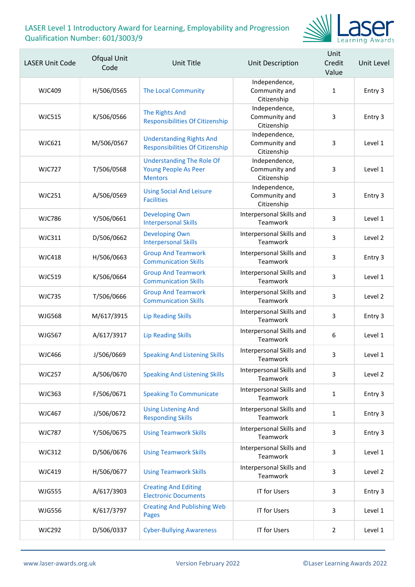

| <b>LASER Unit Code</b> | Ofqual Unit<br>Code | Unit Title                                                                        | Unit Description                              | Unit<br>Credit<br>Value | Unit Level |
|------------------------|---------------------|-----------------------------------------------------------------------------------|-----------------------------------------------|-------------------------|------------|
| <b>WJC409</b>          | H/506/0565          | <b>The Local Community</b>                                                        | Independence,<br>Community and<br>Citizenship | 1                       | Entry 3    |
| <b>WJC515</b>          | K/506/0566          | The Rights And<br><b>Responsibilities Of Citizenship</b>                          | Independence,<br>Community and<br>Citizenship | 3                       | Entry 3    |
| WJC621                 | M/506/0567          | <b>Understanding Rights And</b><br><b>Responsibilities Of Citizenship</b>         | Independence,<br>Community and<br>Citizenship | 3                       | Level 1    |
| <b>WJC727</b>          | T/506/0568          | <b>Understanding The Role Of</b><br><b>Young People As Peer</b><br><b>Mentors</b> | Independence,<br>Community and<br>Citizenship | 3                       | Level 1    |
| <b>WJC251</b>          | A/506/0569          | <b>Using Social And Leisure</b><br><b>Facilities</b>                              | Independence,<br>Community and<br>Citizenship | 3                       | Entry 3    |
| <b>WJC786</b>          | Y/506/0661          | <b>Developing Own</b><br><b>Interpersonal Skills</b>                              | Interpersonal Skills and<br>Teamwork          | 3                       | Level 1    |
| <b>WJC311</b>          | D/506/0662          | <b>Developing Own</b><br><b>Interpersonal Skills</b>                              | Interpersonal Skills and<br>Teamwork          | 3                       | Level 2    |
| <b>WJC418</b>          | H/506/0663          | <b>Group And Teamwork</b><br><b>Communication Skills</b>                          | Interpersonal Skills and<br>Teamwork          | 3                       | Entry 3    |
| <b>WJC519</b>          | K/506/0664          | <b>Group And Teamwork</b><br><b>Communication Skills</b>                          | Interpersonal Skills and<br>Teamwork          | 3                       | Level 1    |
| <b>WJC735</b>          | T/506/0666          | <b>Group And Teamwork</b><br><b>Communication Skills</b>                          | Interpersonal Skills and<br>Teamwork          | 3                       | Level 2    |
| <b>WJG568</b>          | M/617/3915          | <b>Lip Reading Skills</b>                                                         | Interpersonal Skills and<br>Teamwork          | 3                       | Entry 3    |
| <b>WJG567</b>          | A/617/3917          | <b>Lip Reading Skills</b>                                                         | Interpersonal Skills and<br>Teamwork          | 6                       | Level 1    |
| <b>WJC466</b>          | J/506/0669          | <b>Speaking And Listening Skills</b>                                              | Interpersonal Skills and<br>Teamwork          | 3                       | Level 1    |
| <b>WJC257</b>          | A/506/0670          | <b>Speaking And Listening Skills</b>                                              | Interpersonal Skills and<br>Teamwork          | 3                       | Level 2    |
| <b>WJC363</b>          | F/506/0671          | <b>Speaking To Communicate</b>                                                    | Interpersonal Skills and<br>Teamwork          | $\mathbf{1}$            | Entry 3    |
| <b>WJC467</b>          | J/506/0672          | <b>Using Listening And</b><br><b>Responding Skills</b>                            | Interpersonal Skills and<br>Teamwork          | $\mathbf{1}$            | Entry 3    |
| <b>WJC787</b>          | Y/506/0675          | <b>Using Teamwork Skills</b>                                                      | Interpersonal Skills and<br>Teamwork          | 3                       | Entry 3    |
| <b>WJC312</b>          | D/506/0676          | <b>Using Teamwork Skills</b>                                                      | Interpersonal Skills and<br>Teamwork          | 3                       | Level 1    |
| <b>WJC419</b>          | H/506/0677          | <b>Using Teamwork Skills</b>                                                      | Interpersonal Skills and<br>Teamwork          | 3                       | Level 2    |
| <b>WJG555</b>          | A/617/3903          | <b>Creating And Editing</b><br><b>Electronic Documents</b>                        | <b>IT for Users</b>                           | 3                       | Entry 3    |
| <b>WJG556</b>          | K/617/3797          | <b>Creating And Publishing Web</b><br><b>Pages</b>                                | <b>IT for Users</b>                           | 3                       | Level 1    |
| <b>WJC292</b>          | D/506/0337          | <b>Cyber-Bullying Awareness</b>                                                   | IT for Users                                  | $\overline{2}$          | Level 1    |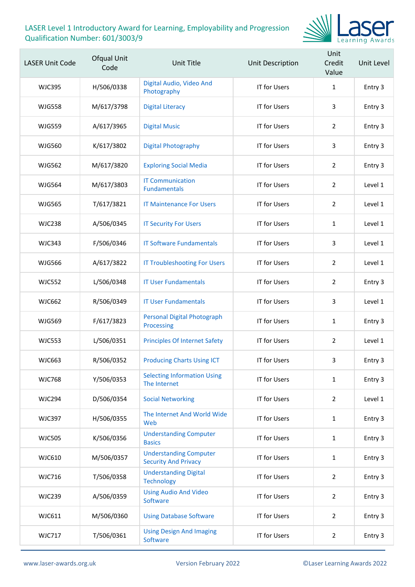

| <b>LASER Unit Code</b> | Ofqual Unit<br>Code | <b>Unit Title</b>                                            | Unit Description    | Unit<br>Credit<br>Value | Unit Level |
|------------------------|---------------------|--------------------------------------------------------------|---------------------|-------------------------|------------|
| <b>WJC395</b>          | H/506/0338          | Digital Audio, Video And<br>Photography                      | <b>IT for Users</b> | $\mathbf{1}$            | Entry 3    |
| <b>WJG558</b>          | M/617/3798          | <b>Digital Literacy</b>                                      | <b>IT for Users</b> | 3                       | Entry 3    |
| <b>WJG559</b>          | A/617/3965          | <b>Digital Music</b>                                         | <b>IT for Users</b> | $\overline{2}$          | Entry 3    |
| <b>WJG560</b>          | K/617/3802          | <b>Digital Photography</b>                                   | <b>IT for Users</b> | 3                       | Entry 3    |
| <b>WJG562</b>          | M/617/3820          | <b>Exploring Social Media</b>                                | <b>IT for Users</b> | $\overline{2}$          | Entry 3    |
| <b>WJG564</b>          | M/617/3803          | <b>IT Communication</b><br><b>Fundamentals</b>               | <b>IT for Users</b> | $\overline{2}$          | Level 1    |
| <b>WJG565</b>          | T/617/3821          | <b>IT Maintenance For Users</b>                              | <b>IT for Users</b> | 2                       | Level 1    |
| <b>WJC238</b>          | A/506/0345          | <b>IT Security For Users</b>                                 | <b>IT for Users</b> | $\mathbf{1}$            | Level 1    |
| <b>WJC343</b>          | F/506/0346          | <b>IT Software Fundamentals</b>                              | <b>IT for Users</b> | 3                       | Level 1    |
| <b>WJG566</b>          | A/617/3822          | <b>IT Troubleshooting For Users</b>                          | <b>IT for Users</b> | 2                       | Level 1    |
| <b>WJC552</b>          | L/506/0348          | <b>IT User Fundamentals</b>                                  | <b>IT for Users</b> | $\overline{2}$          | Entry 3    |
| <b>WJC662</b>          | R/506/0349          | <b>IT User Fundamentals</b>                                  | <b>IT for Users</b> | 3                       | Level 1    |
| <b>WJG569</b>          | F/617/3823          | Personal Digital Photograph<br>Processing                    | <b>IT for Users</b> | $\mathbf{1}$            | Entry 3    |
| <b>WJC553</b>          | L/506/0351          | <b>Principles Of Internet Safety</b>                         | <b>IT for Users</b> | $\overline{2}$          | Level 1    |
| WJC663                 | R/506/0352          | <b>Producing Charts Using ICT</b>                            | <b>IT for Users</b> | 3                       | Entry 3    |
| <b>WJC768</b>          | Y/506/0353          | <b>Selecting Information Using</b><br>The Internet           | <b>IT for Users</b> | $\mathbf{1}$            | Entry 3    |
| <b>WJC294</b>          | D/506/0354          | <b>Social Networking</b>                                     | <b>IT for Users</b> | $\overline{2}$          | Level 1    |
| <b>WJC397</b>          | H/506/0355          | The Internet And World Wide<br>Web                           | <b>IT for Users</b> | $\mathbf{1}$            | Entry 3    |
| <b>WJC505</b>          | K/506/0356          | <b>Understanding Computer</b><br><b>Basics</b>               | <b>IT for Users</b> | $\mathbf{1}$            | Entry 3    |
| WJC610                 | M/506/0357          | <b>Understanding Computer</b><br><b>Security And Privacy</b> | <b>IT for Users</b> | $\mathbf{1}$            | Entry 3    |
| <b>WJC716</b>          | T/506/0358          | <b>Understanding Digital</b><br><b>Technology</b>            | <b>IT for Users</b> | $\overline{2}$          | Entry 3    |
| <b>WJC239</b>          | A/506/0359          | <b>Using Audio And Video</b><br>Software                     | <b>IT for Users</b> | $\overline{2}$          | Entry 3    |
| WJC611                 | M/506/0360          | <b>Using Database Software</b>                               | IT for Users        | $\overline{2}$          | Entry 3    |
| <b>WJC717</b>          | T/506/0361          | <b>Using Design And Imaging</b><br>Software                  | <b>IT for Users</b> | $\overline{2}$          | Entry 3    |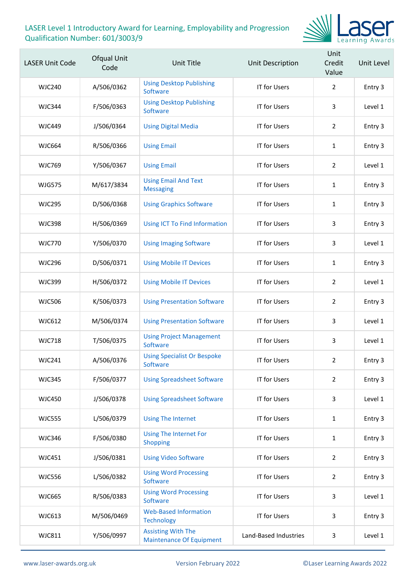

| <b>LASER Unit Code</b> | Ofqual Unit<br>Code | <b>Unit Title</b>                                            | Unit Description      | Unit<br>Credit<br>Value | Unit Level |
|------------------------|---------------------|--------------------------------------------------------------|-----------------------|-------------------------|------------|
| <b>WJC240</b>          | A/506/0362          | <b>Using Desktop Publishing</b><br>Software                  | IT for Users          | $\overline{2}$          | Entry 3    |
| <b>WJC344</b>          | F/506/0363          | <b>Using Desktop Publishing</b><br>Software                  | <b>IT for Users</b>   | 3                       | Level 1    |
| <b>WJC449</b>          | J/506/0364          | <b>Using Digital Media</b>                                   | <b>IT for Users</b>   | $\overline{2}$          | Entry 3    |
| <b>WJC664</b>          | R/506/0366          | <b>Using Email</b>                                           | <b>IT for Users</b>   | $\mathbf{1}$            | Entry 3    |
| <b>WJC769</b>          | Y/506/0367          | <b>Using Email</b>                                           | <b>IT for Users</b>   | $\overline{2}$          | Level 1    |
| <b>WJG575</b>          | M/617/3834          | <b>Using Email And Text</b><br><b>Messaging</b>              | <b>IT for Users</b>   | $\mathbf{1}$            | Entry 3    |
| <b>WJC295</b>          | D/506/0368          | <b>Using Graphics Software</b>                               | <b>IT for Users</b>   | $\mathbf{1}$            | Entry 3    |
| <b>WJC398</b>          | H/506/0369          | Using ICT To Find Information                                | IT for Users          | 3                       | Entry 3    |
| <b>WJC770</b>          | Y/506/0370          | <b>Using Imaging Software</b>                                | IT for Users          | 3                       | Level 1    |
| <b>WJC296</b>          | D/506/0371          | <b>Using Mobile IT Devices</b>                               | <b>IT for Users</b>   | $\mathbf{1}$            | Entry 3    |
| <b>WJC399</b>          | H/506/0372          | <b>Using Mobile IT Devices</b>                               | <b>IT for Users</b>   | $\overline{2}$          | Level 1    |
| <b>WJC506</b>          | K/506/0373          | <b>Using Presentation Software</b>                           | IT for Users          | $\overline{2}$          | Entry 3    |
| <b>WJC612</b>          | M/506/0374          | <b>Using Presentation Software</b>                           | <b>IT for Users</b>   | 3                       | Level 1    |
| <b>WJC718</b>          | T/506/0375          | <b>Using Project Management</b><br>Software                  | IT for Users          | 3                       | Level 1    |
| <b>WJC241</b>          | A/506/0376          | <b>Using Specialist Or Bespoke</b><br>Software               | <b>IT for Users</b>   | 2                       | Entry 3    |
| <b>WJC345</b>          | F/506/0377          | <b>Using Spreadsheet Software</b>                            | IT for Users          | $\overline{2}$          | Entry 3    |
| <b>WJC450</b>          | J/506/0378          | <b>Using Spreadsheet Software</b>                            | IT for Users          | 3                       | Level 1    |
| <b>WJC555</b>          | L/506/0379          | <b>Using The Internet</b>                                    | <b>IT for Users</b>   | $\mathbf{1}$            | Entry 3    |
| <b>WJC346</b>          | F/506/0380          | <b>Using The Internet For</b><br><b>Shopping</b>             | IT for Users          | $\mathbf{1}$            | Entry 3    |
| <b>WJC451</b>          | J/506/0381          | <b>Using Video Software</b>                                  | IT for Users          | $\overline{2}$          | Entry 3    |
| <b>WJC556</b>          | L/506/0382          | <b>Using Word Processing</b><br>Software                     | IT for Users          | $\overline{2}$          | Entry 3    |
| <b>WJC665</b>          | R/506/0383          | <b>Using Word Processing</b><br>Software                     | IT for Users          | 3                       | Level 1    |
| WJC613                 | M/506/0469          | <b>Web-Based Information</b><br><b>Technology</b>            | IT for Users          | 3                       | Entry 3    |
| <b>WJC811</b>          | Y/506/0997          | <b>Assisting With The</b><br><b>Maintenance Of Equipment</b> | Land-Based Industries | 3                       | Level 1    |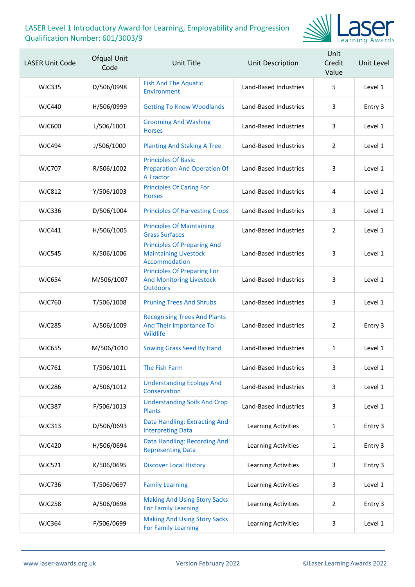

| <b>LASER Unit Code</b> | Ofqual Unit<br>Code | <b>Unit Title</b>                                                                        | Unit Description      | Unit<br>Credit<br>Value | Unit Level |
|------------------------|---------------------|------------------------------------------------------------------------------------------|-----------------------|-------------------------|------------|
| WJC335                 | D/506/0998          | <b>Fish And The Aquatic</b><br>Environment                                               | Land-Based Industries | 5                       | Level 1    |
| WJC440                 | H/506/0999          | <b>Getting To Know Woodlands</b>                                                         | Land-Based Industries | 3                       | Entry 3    |
| <b>WJC600</b>          | L/506/1001          | <b>Grooming And Washing</b><br><b>Horses</b>                                             | Land-Based Industries | 3                       | Level 1    |
| <b>WJC494</b>          | J/506/1000          | <b>Planting And Staking A Tree</b>                                                       | Land-Based Industries | $\overline{2}$          | Level 1    |
| <b>WJC707</b>          | R/506/1002          | <b>Principles Of Basic</b><br><b>Preparation And Operation Of</b><br><b>A Tractor</b>    | Land-Based Industries | 3                       | Level 1    |
| <b>WJC812</b>          | Y/506/1003          | <b>Principles Of Caring For</b><br><b>Horses</b>                                         | Land-Based Industries | 4                       | Level 1    |
| <b>WJC336</b>          | D/506/1004          | <b>Principles Of Harvesting Crops</b>                                                    | Land-Based Industries | 3                       | Level 1    |
| <b>WJC441</b>          | H/506/1005          | <b>Principles Of Maintaining</b><br><b>Grass Surfaces</b>                                | Land-Based Industries | $\overline{2}$          | Level 1    |
| <b>WJC545</b>          | K/506/1006          | <b>Principles Of Preparing And</b><br><b>Maintaining Livestock</b><br>Accommodation      | Land-Based Industries | 3                       | Level 1    |
| <b>WJC654</b>          | M/506/1007          | <b>Principles Of Preparing For</b><br><b>And Monitoring Livestock</b><br><b>Outdoors</b> | Land-Based Industries | 3                       | Level 1    |
| WJC760                 | T/506/1008          | <b>Pruning Trees And Shrubs</b>                                                          | Land-Based Industries | 3                       | Level 1    |
| <b>WJC285</b>          | A/506/1009          | <b>Recognising Trees And Plants</b><br>And Their Importance To<br>Wildlife               | Land-Based Industries | $\overline{2}$          | Entry 3    |
| <b>WJC655</b>          | M/506/1010          | Sowing Grass Seed By Hand                                                                | Land-Based Industries | $\mathbf{1}$            | Level 1    |
| <b>WJC761</b>          | T/506/1011          | The Fish Farm                                                                            | Land-Based Industries | 3                       | Level 1    |
| <b>WJC286</b>          | A/506/1012          | <b>Understanding Ecology And</b><br>Conservation                                         | Land-Based Industries | 3                       | Level 1    |
| <b>WJC387</b>          | F/506/1013          | <b>Understanding Soils And Crop</b><br><b>Plants</b>                                     | Land-Based Industries | 3                       | Level 1    |
| <b>WJC313</b>          | D/506/0693          | Data Handling: Extracting And<br><b>Interpreting Data</b>                                | Learning Activities   | $\mathbf{1}$            | Entry 3    |
| <b>WJC420</b>          | H/506/0694          | Data Handling: Recording And<br><b>Representing Data</b>                                 | Learning Activities   | $\mathbf{1}$            | Entry 3    |
| <b>WJC521</b>          | K/506/0695          | <b>Discover Local History</b>                                                            | Learning Activities   | 3                       | Entry 3    |
| <b>WJC736</b>          | T/506/0697          | <b>Family Learning</b>                                                                   | Learning Activities   | 3                       | Level 1    |
| <b>WJC258</b>          | A/506/0698          | <b>Making And Using Story Sacks</b><br><b>For Family Learning</b>                        | Learning Activities   | 2                       | Entry 3    |
| <b>WJC364</b>          | F/506/0699          | <b>Making And Using Story Sacks</b><br><b>For Family Learning</b>                        | Learning Activities   | 3                       | Level 1    |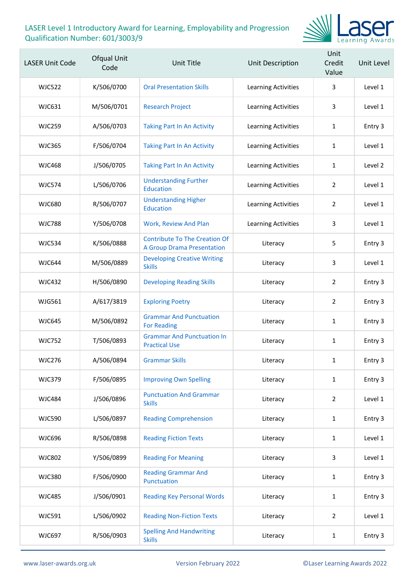

| <b>LASER Unit Code</b> | Ofqual Unit<br>Code | Unit Title                                                                | Unit Description           | Unit<br>Credit<br>Value | Unit Level |
|------------------------|---------------------|---------------------------------------------------------------------------|----------------------------|-------------------------|------------|
| <b>WJC522</b>          | K/506/0700          | <b>Oral Presentation Skills</b>                                           | <b>Learning Activities</b> | 3                       | Level 1    |
| <b>WJC631</b>          | M/506/0701          | <b>Research Project</b>                                                   | <b>Learning Activities</b> | 3                       | Level 1    |
| <b>WJC259</b>          | A/506/0703          | <b>Taking Part In An Activity</b>                                         | Learning Activities        | 1                       | Entry 3    |
| <b>WJC365</b>          | F/506/0704          | <b>Taking Part In An Activity</b>                                         | Learning Activities        | 1                       | Level 1    |
| <b>WJC468</b>          | J/506/0705          | <b>Taking Part In An Activity</b>                                         | Learning Activities        | 1                       | Level 2    |
| <b>WJC574</b>          | L/506/0706          | <b>Understanding Further</b><br><b>Education</b>                          | <b>Learning Activities</b> | $\overline{2}$          | Level 1    |
| <b>WJC680</b>          | R/506/0707          | <b>Understanding Higher</b><br><b>Education</b>                           | Learning Activities        | $\overline{2}$          | Level 1    |
| <b>WJC788</b>          | Y/506/0708          | Work, Review And Plan                                                     | <b>Learning Activities</b> | 3                       | Level 1    |
| <b>WJC534</b>          | K/506/0888          | <b>Contribute To The Creation Of</b><br><b>A Group Drama Presentation</b> | Literacy                   | 5                       | Entry 3    |
| <b>WJC644</b>          | M/506/0889          | <b>Developing Creative Writing</b><br><b>Skills</b>                       | Literacy                   | 3                       | Level 1    |
| <b>WJC432</b>          | H/506/0890          | <b>Developing Reading Skills</b>                                          | Literacy                   | $\overline{2}$          | Entry 3    |
| <b>WJG561</b>          | A/617/3819          | <b>Exploring Poetry</b>                                                   | Literacy                   | $\overline{2}$          | Entry 3    |
| <b>WJC645</b>          | M/506/0892          | <b>Grammar And Punctuation</b><br><b>For Reading</b>                      | Literacy                   | 1                       | Entry 3    |
| <b>WJC752</b>          | T/506/0893          | <b>Grammar And Punctuation In</b><br><b>Practical Use</b>                 | Literacy                   | $\mathbf{1}$            | Entry 3    |
| <b>WJC276</b>          | A/506/0894          | <b>Grammar Skills</b>                                                     | Literacy                   | $\mathbf{1}$            | Entry 3    |
| <b>WJC379</b>          | F/506/0895          | <b>Improving Own Spelling</b>                                             | Literacy                   | $\mathbf{1}$            | Entry 3    |
| <b>WJC484</b>          | J/506/0896          | <b>Punctuation And Grammar</b><br><b>Skills</b>                           | Literacy                   | $\overline{2}$          | Level 1    |
| <b>WJC590</b>          | L/506/0897          | <b>Reading Comprehension</b>                                              | Literacy                   | $\mathbf{1}$            | Entry 3    |
| <b>WJC696</b>          | R/506/0898          | <b>Reading Fiction Texts</b>                                              | Literacy                   | $\mathbf{1}$            | Level 1    |
| <b>WJC802</b>          | Y/506/0899          | <b>Reading For Meaning</b>                                                | Literacy                   | $\mathbf{3}$            | Level 1    |
| <b>WJC380</b>          | F/506/0900          | <b>Reading Grammar And</b><br>Punctuation                                 | Literacy                   | $\mathbf{1}$            | Entry 3    |
| <b>WJC485</b>          | J/506/0901          | <b>Reading Key Personal Words</b>                                         | Literacy                   | $\mathbf{1}$            | Entry 3    |
| <b>WJC591</b>          | L/506/0902          | <b>Reading Non-Fiction Texts</b>                                          | Literacy                   | $\overline{2}$          | Level 1    |
| <b>WJC697</b>          | R/506/0903          | <b>Spelling And Handwriting</b><br><b>Skills</b>                          | Literacy                   | 1                       | Entry 3    |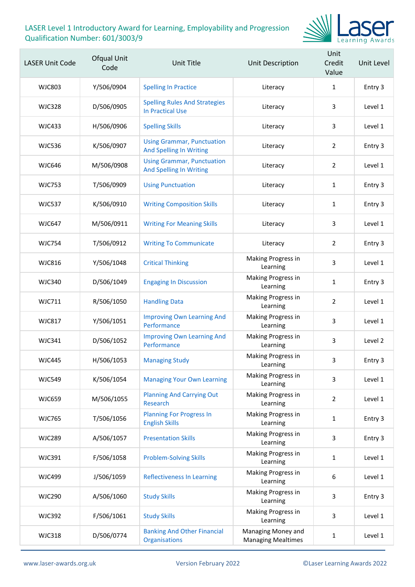

| <b>LASER Unit Code</b> | Ofqual Unit<br>Code | Unit Title                                                          | Unit Description                                | Unit<br>Credit<br>Value | Unit Level |
|------------------------|---------------------|---------------------------------------------------------------------|-------------------------------------------------|-------------------------|------------|
| <b>WJC803</b>          | Y/506/0904          | <b>Spelling In Practice</b>                                         | Literacy                                        | $\mathbf{1}$            | Entry 3    |
| <b>WJC328</b>          | D/506/0905          | <b>Spelling Rules And Strategies</b><br><b>In Practical Use</b>     | Literacy                                        | 3                       | Level 1    |
| <b>WJC433</b>          | H/506/0906          | <b>Spelling Skills</b>                                              | Literacy                                        | 3                       | Level 1    |
| <b>WJC536</b>          | K/506/0907          | <b>Using Grammar, Punctuation</b><br><b>And Spelling In Writing</b> | Literacy                                        | $\overline{2}$          | Entry 3    |
| <b>WJC646</b>          | M/506/0908          | <b>Using Grammar, Punctuation</b><br><b>And Spelling In Writing</b> | Literacy                                        | $\overline{2}$          | Level 1    |
| <b>WJC753</b>          | T/506/0909          | <b>Using Punctuation</b>                                            | Literacy                                        | 1                       | Entry 3    |
| <b>WJC537</b>          | K/506/0910          | <b>Writing Composition Skills</b>                                   | Literacy                                        | $\mathbf{1}$            | Entry 3    |
| <b>WJC647</b>          | M/506/0911          | <b>Writing For Meaning Skills</b>                                   | Literacy                                        | 3                       | Level 1    |
| <b>WJC754</b>          | T/506/0912          | <b>Writing To Communicate</b>                                       | Literacy                                        | $\overline{2}$          | Entry 3    |
| <b>WJC816</b>          | Y/506/1048          | <b>Critical Thinking</b>                                            | Making Progress in<br>Learning                  | 3                       | Level 1    |
| <b>WJC340</b>          | D/506/1049          | <b>Engaging In Discussion</b>                                       | Making Progress in<br>Learning                  | 1                       | Entry 3    |
| WJC711                 | R/506/1050          | <b>Handling Data</b>                                                | Making Progress in<br>Learning                  | $\overline{2}$          | Level 1    |
| <b>WJC817</b>          | Y/506/1051          | <b>Improving Own Learning And</b><br>Performance                    | Making Progress in<br>Learning                  | 3                       | Level 1    |
| <b>WJC341</b>          | D/506/1052          | <b>Improving Own Learning And</b><br>Performance                    | Making Progress in<br>Learning                  | 3                       | Level 2    |
| <b>WJC445</b>          | H/506/1053          | <b>Managing Study</b>                                               | Making Progress in<br>Learning                  | 3                       | Entry 3    |
| <b>WJC549</b>          | K/506/1054          | <b>Managing Your Own Learning</b>                                   | Making Progress in<br>Learning                  | 3                       | Level 1    |
| <b>WJC659</b>          | M/506/1055          | <b>Planning And Carrying Out</b><br>Research                        | Making Progress in<br>Learning                  | $\overline{2}$          | Level 1    |
| <b>WJC765</b>          | T/506/1056          | <b>Planning For Progress In</b><br><b>English Skills</b>            | Making Progress in<br>Learning                  | 1                       | Entry 3    |
| <b>WJC289</b>          | A/506/1057          | <b>Presentation Skills</b>                                          | Making Progress in<br>Learning                  | 3                       | Entry 3    |
| <b>WJC391</b>          | F/506/1058          | <b>Problem-Solving Skills</b>                                       | Making Progress in<br>Learning                  | 1                       | Level 1    |
| <b>WJC499</b>          | J/506/1059          | <b>Reflectiveness In Learning</b>                                   | Making Progress in<br>Learning                  | 6                       | Level 1    |
| <b>WJC290</b>          | A/506/1060          | <b>Study Skills</b>                                                 | Making Progress in<br>Learning                  | 3                       | Entry 3    |
| <b>WJC392</b>          | F/506/1061          | <b>Study Skills</b>                                                 | Making Progress in<br>Learning                  | 3                       | Level 1    |
| <b>WJC318</b>          | D/506/0774          | <b>Banking And Other Financial</b><br><b>Organisations</b>          | Managing Money and<br><b>Managing Mealtimes</b> | 1                       | Level 1    |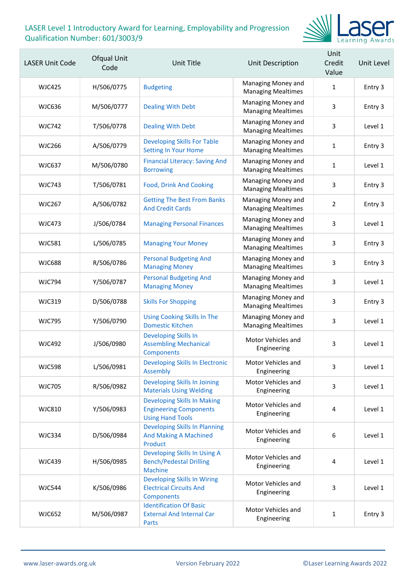

| <b>LASER Unit Code</b> | Ofqual Unit<br>Code | Unit Title                                                                                     | Unit Description                                | Unit<br>Credit<br>Value | Unit Level |
|------------------------|---------------------|------------------------------------------------------------------------------------------------|-------------------------------------------------|-------------------------|------------|
| <b>WJC425</b>          | H/506/0775          | <b>Budgeting</b>                                                                               | Managing Money and<br><b>Managing Mealtimes</b> | $\mathbf{1}$            | Entry 3    |
| <b>WJC636</b>          | M/506/0777          | <b>Dealing With Debt</b>                                                                       | Managing Money and<br><b>Managing Mealtimes</b> | 3                       | Entry 3    |
| <b>WJC742</b>          | T/506/0778          | <b>Dealing With Debt</b>                                                                       | Managing Money and<br><b>Managing Mealtimes</b> | 3                       | Level 1    |
| <b>WJC266</b>          | A/506/0779          | <b>Developing Skills For Table</b><br><b>Setting In Your Home</b>                              | Managing Money and<br><b>Managing Mealtimes</b> | $\mathbf{1}$            | Entry 3    |
| <b>WJC637</b>          | M/506/0780          | <b>Financial Literacy: Saving And</b><br><b>Borrowing</b>                                      | Managing Money and<br><b>Managing Mealtimes</b> | $\mathbf{1}$            | Level 1    |
| <b>WJC743</b>          | T/506/0781          | <b>Food, Drink And Cooking</b>                                                                 | Managing Money and<br><b>Managing Mealtimes</b> | 3                       | Entry 3    |
| <b>WJC267</b>          | A/506/0782          | <b>Getting The Best From Banks</b><br><b>And Credit Cards</b>                                  | Managing Money and<br><b>Managing Mealtimes</b> | $\overline{2}$          | Entry 3    |
| <b>WJC473</b>          | J/506/0784          | <b>Managing Personal Finances</b>                                                              | Managing Money and<br><b>Managing Mealtimes</b> | 3                       | Level 1    |
| <b>WJC581</b>          | L/506/0785          | <b>Managing Your Money</b>                                                                     | Managing Money and<br><b>Managing Mealtimes</b> | 3                       | Entry 3    |
| <b>WJC688</b>          | R/506/0786          | <b>Personal Budgeting And</b><br><b>Managing Money</b>                                         | Managing Money and<br><b>Managing Mealtimes</b> | 3                       | Entry 3    |
| <b>WJC794</b>          | Y/506/0787          | <b>Personal Budgeting And</b><br><b>Managing Money</b>                                         | Managing Money and<br><b>Managing Mealtimes</b> | 3                       | Level 1    |
| <b>WJC319</b>          | D/506/0788          | <b>Skills For Shopping</b>                                                                     | Managing Money and<br><b>Managing Mealtimes</b> | 3                       | Entry 3    |
| <b>WJC795</b>          | Y/506/0790          | <b>Using Cooking Skills In The</b><br><b>Domestic Kitchen</b>                                  | Managing Money and<br><b>Managing Mealtimes</b> | 3                       | Level 1    |
| <b>WJC492</b>          | J/506/0980          | <b>Developing Skills In</b><br><b>Assembling Mechanical</b><br>Components                      | Motor Vehicles and<br>Engineering               | 3                       | Level 1    |
| <b>WJC598</b>          | L/506/0981          | <b>Developing Skills In Electronic</b><br><b>Assembly</b>                                      | Motor Vehicles and<br>Engineering               | 3                       | Level 1    |
| <b>WJC705</b>          | R/506/0982          | Developing Skills In Joining<br><b>Materials Using Welding</b>                                 | Motor Vehicles and<br>Engineering               | 3                       | Level 1    |
| <b>WJC810</b>          | Y/506/0983          | <b>Developing Skills In Making</b><br><b>Engineering Components</b><br><b>Using Hand Tools</b> | Motor Vehicles and<br>Engineering               | 4                       | Level 1    |
| <b>WJC334</b>          | D/506/0984          | <b>Developing Skills In Planning</b><br><b>And Making A Machined</b><br>Product                | Motor Vehicles and<br>Engineering               | 6                       | Level 1    |
| <b>WJC439</b>          | H/506/0985          | Developing Skills In Using A<br><b>Bench/Pedestal Drilling</b><br><b>Machine</b>               | Motor Vehicles and<br>Engineering               | 4                       | Level 1    |
| <b>WJC544</b>          | K/506/0986          | <b>Developing Skills In Wiring</b><br><b>Electrical Circuits And</b><br>Components             | Motor Vehicles and<br>Engineering               | 3                       | Level 1    |
| <b>WJC652</b>          | M/506/0987          | <b>Identification Of Basic</b><br><b>External And Internal Car</b><br>Parts                    | Motor Vehicles and<br>Engineering               | 1                       | Entry 3    |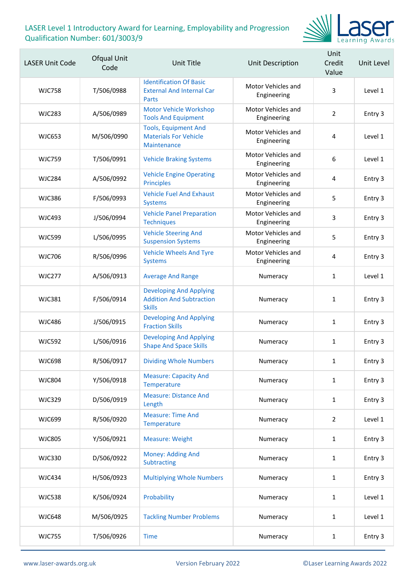

| <b>LASER Unit Code</b> | Ofqual Unit<br>Code | Unit Title                                                                         | Unit Description                  | Unit<br>Credit<br>Value | Unit Level |
|------------------------|---------------------|------------------------------------------------------------------------------------|-----------------------------------|-------------------------|------------|
| <b>WJC758</b>          | T/506/0988          | <b>Identification Of Basic</b><br><b>External And Internal Car</b><br>Parts        | Motor Vehicles and<br>Engineering | 3                       | Level 1    |
| <b>WJC283</b>          | A/506/0989          | <b>Motor Vehicle Workshop</b><br><b>Tools And Equipment</b>                        | Motor Vehicles and<br>Engineering | $\overline{2}$          | Entry 3    |
| <b>WJC653</b>          | M/506/0990          | <b>Tools, Equipment And</b><br><b>Materials For Vehicle</b><br>Maintenance         | Motor Vehicles and<br>Engineering | 4                       | Level 1    |
| <b>WJC759</b>          | T/506/0991          | <b>Vehicle Braking Systems</b>                                                     | Motor Vehicles and<br>Engineering | 6                       | Level 1    |
| <b>WJC284</b>          | A/506/0992          | <b>Vehicle Engine Operating</b><br><b>Principles</b>                               | Motor Vehicles and<br>Engineering | 4                       | Entry 3    |
| <b>WJC386</b>          | F/506/0993          | <b>Vehicle Fuel And Exhaust</b><br><b>Systems</b>                                  | Motor Vehicles and<br>Engineering | 5                       | Entry 3    |
| <b>WJC493</b>          | J/506/0994          | <b>Vehicle Panel Preparation</b><br><b>Techniques</b>                              | Motor Vehicles and<br>Engineering | 3                       | Entry 3    |
| <b>WJC599</b>          | L/506/0995          | <b>Vehicle Steering And</b><br><b>Suspension Systems</b>                           | Motor Vehicles and<br>Engineering | 5                       | Entry 3    |
| <b>WJC706</b>          | R/506/0996          | <b>Vehicle Wheels And Tyre</b><br><b>Systems</b>                                   | Motor Vehicles and<br>Engineering | 4                       | Entry 3    |
| <b>WJC277</b>          | A/506/0913          | <b>Average And Range</b>                                                           | Numeracy                          | $\mathbf{1}$            | Level 1    |
| <b>WJC381</b>          | F/506/0914          | <b>Developing And Applying</b><br><b>Addition And Subtraction</b><br><b>Skills</b> | Numeracy                          | 1                       | Entry 3    |
| <b>WJC486</b>          | J/506/0915          | <b>Developing And Applying</b><br><b>Fraction Skills</b>                           | Numeracy                          | $\mathbf{1}$            | Entry 3    |
| <b>WJC592</b>          | L/506/0916          | <b>Developing And Applying</b><br><b>Shape And Space Skills</b>                    | Numeracy                          | $\mathbf{1}$            | Entry 3    |
| <b>WJC698</b>          | R/506/0917          | <b>Dividing Whole Numbers</b>                                                      | Numeracy                          | 1                       | Entry 3    |
| <b>WJC804</b>          | Y/506/0918          | <b>Measure: Capacity And</b><br>Temperature                                        | Numeracy                          | $\mathbf{1}$            | Entry 3    |
| <b>WJC329</b>          | D/506/0919          | <b>Measure: Distance And</b><br>Length                                             | Numeracy                          | $\mathbf{1}$            | Entry 3    |
| <b>WJC699</b>          | R/506/0920          | <b>Measure: Time And</b><br>Temperature                                            | Numeracy                          | $\overline{2}$          | Level 1    |
| <b>WJC805</b>          | Y/506/0921          | <b>Measure: Weight</b>                                                             | Numeracy                          | $\mathbf{1}$            | Entry 3    |
| <b>WJC330</b>          | D/506/0922          | Money: Adding And<br>Subtracting                                                   | Numeracy                          | $\mathbf{1}$            | Entry 3    |
| <b>WJC434</b>          | H/506/0923          | <b>Multiplying Whole Numbers</b>                                                   | Numeracy                          | $\mathbf{1}$            | Entry 3    |
| <b>WJC538</b>          | K/506/0924          | Probability                                                                        | Numeracy                          | $\mathbf{1}$            | Level 1    |
| <b>WJC648</b>          | M/506/0925          | <b>Tackling Number Problems</b>                                                    | Numeracy                          | $\mathbf{1}$            | Level 1    |
| <b>WJC755</b>          | T/506/0926          | <b>Time</b>                                                                        | Numeracy                          | $\mathbf{1}$            | Entry 3    |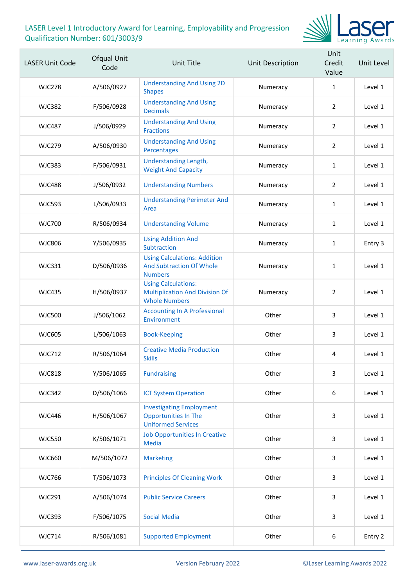

| <b>LASER Unit Code</b> | Ofqual Unit<br>Code | <b>Unit Title</b>                                                                           | <b>Unit Description</b> | Unit<br>Credit<br>Value | Unit Level |
|------------------------|---------------------|---------------------------------------------------------------------------------------------|-------------------------|-------------------------|------------|
| <b>WJC278</b>          | A/506/0927          | <b>Understanding And Using 2D</b><br><b>Shapes</b>                                          | Numeracy                | $\mathbf{1}$            | Level 1    |
| <b>WJC382</b>          | F/506/0928          | <b>Understanding And Using</b><br><b>Decimals</b>                                           | Numeracy                | $\overline{2}$          | Level 1    |
| <b>WJC487</b>          | J/506/0929          | <b>Understanding And Using</b><br><b>Fractions</b>                                          | Numeracy                | $\overline{2}$          | Level 1    |
| <b>WJC279</b>          | A/506/0930          | <b>Understanding And Using</b><br>Percentages                                               | Numeracy                | $\overline{2}$          | Level 1    |
| <b>WJC383</b>          | F/506/0931          | Understanding Length,<br><b>Weight And Capacity</b>                                         | Numeracy                | $\mathbf{1}$            | Level 1    |
| <b>WJC488</b>          | J/506/0932          | <b>Understanding Numbers</b>                                                                | Numeracy                | $\overline{2}$          | Level 1    |
| <b>WJC593</b>          | L/506/0933          | <b>Understanding Perimeter And</b><br>Area                                                  | Numeracy                | $\mathbf{1}$            | Level 1    |
| <b>WJC700</b>          | R/506/0934          | <b>Understanding Volume</b>                                                                 | Numeracy                | $\mathbf{1}$            | Level 1    |
| <b>WJC806</b>          | Y/506/0935          | <b>Using Addition And</b><br>Subtraction                                                    | Numeracy                | 1                       | Entry 3    |
| <b>WJC331</b>          | D/506/0936          | <b>Using Calculations: Addition</b><br><b>And Subtraction Of Whole</b><br><b>Numbers</b>    | Numeracy                | $\mathbf{1}$            | Level 1    |
| <b>WJC435</b>          | H/506/0937          | <b>Using Calculations:</b><br><b>Multiplication And Division Of</b><br><b>Whole Numbers</b> | Numeracy                | $\overline{2}$          | Level 1    |
| <b>WJC500</b>          | J/506/1062          | <b>Accounting In A Professional</b><br>Environment                                          | Other                   | 3                       | Level 1    |
| <b>WJC605</b>          | L/506/1063          | <b>Book-Keeping</b>                                                                         | Other                   | 3                       | Level 1    |
| <b>WJC712</b>          | R/506/1064          | <b>Creative Media Production</b><br><b>Skills</b>                                           | Other                   | 4                       | Level 1    |
| <b>WJC818</b>          | Y/506/1065          | <b>Fundraising</b>                                                                          | Other                   | 3                       | Level 1    |
| <b>WJC342</b>          | D/506/1066          | <b>ICT System Operation</b>                                                                 | Other                   | 6                       | Level 1    |
| <b>WJC446</b>          | H/506/1067          | <b>Investigating Employment</b><br><b>Opportunities In The</b><br><b>Uniformed Services</b> | Other                   | 3                       | Level 1    |
| <b>WJC550</b>          | K/506/1071          | <b>Job Opportunities In Creative</b><br><b>Media</b>                                        | Other                   | 3                       | Level 1    |
| <b>WJC660</b>          | M/506/1072          | <b>Marketing</b>                                                                            | Other                   | 3                       | Level 1    |
| <b>WJC766</b>          | T/506/1073          | <b>Principles Of Cleaning Work</b>                                                          | Other                   | 3                       | Level 1    |
| <b>WJC291</b>          | A/506/1074          | <b>Public Service Careers</b>                                                               | Other                   | 3                       | Level 1    |
| <b>WJC393</b>          | F/506/1075          | <b>Social Media</b>                                                                         | Other                   | 3                       | Level 1    |
| <b>WJC714</b>          | R/506/1081          | <b>Supported Employment</b>                                                                 | Other                   | 6                       | Entry 2    |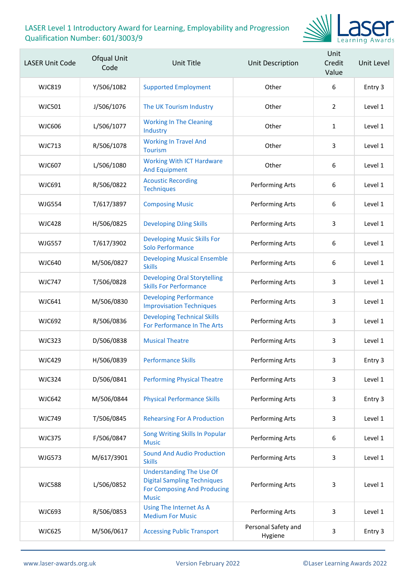

| <b>LASER Unit Code</b> | Ofqual Unit<br>Code | Unit Title                                                                                                                  | <b>Unit Description</b>        | Unit<br>Credit<br>Value | Unit Level |
|------------------------|---------------------|-----------------------------------------------------------------------------------------------------------------------------|--------------------------------|-------------------------|------------|
| WJC819                 | Y/506/1082          | <b>Supported Employment</b>                                                                                                 | Other                          | 6                       | Entry 3    |
| <b>WJC501</b>          | J/506/1076          | The UK Tourism Industry                                                                                                     | Other                          | $\overline{2}$          | Level 1    |
| <b>WJC606</b>          | L/506/1077          | <b>Working In The Cleaning</b><br>Industry                                                                                  | Other                          | 1                       | Level 1    |
| <b>WJC713</b>          | R/506/1078          | <b>Working In Travel And</b><br><b>Tourism</b>                                                                              | Other                          | 3                       | Level 1    |
| <b>WJC607</b>          | L/506/1080          | <b>Working With ICT Hardware</b><br><b>And Equipment</b>                                                                    | Other                          | 6                       | Level 1    |
| WJC691                 | R/506/0822          | <b>Acoustic Recording</b><br><b>Techniques</b>                                                                              | Performing Arts                | 6                       | Level 1    |
| <b>WJG554</b>          | T/617/3897          | <b>Composing Music</b>                                                                                                      | Performing Arts                | 6                       | Level 1    |
| <b>WJC428</b>          | H/506/0825          | <b>Developing DJing Skills</b>                                                                                              | Performing Arts                | 3                       | Level 1    |
| <b>WJG557</b>          | T/617/3902          | <b>Developing Music Skills For</b><br><b>Solo Performance</b>                                                               | Performing Arts                | 6                       | Level 1    |
| <b>WJC640</b>          | M/506/0827          | <b>Developing Musical Ensemble</b><br><b>Skills</b>                                                                         | Performing Arts                | 6                       | Level 1    |
| <b>WJC747</b>          | T/506/0828          | <b>Developing Oral Storytelling</b><br><b>Skills For Performance</b>                                                        | Performing Arts                | 3                       | Level 1    |
| <b>WJC641</b>          | M/506/0830          | <b>Developing Performance</b><br><b>Improvisation Techniques</b>                                                            | Performing Arts                | 3                       | Level 1    |
| <b>WJC692</b>          | R/506/0836          | <b>Developing Technical Skills</b><br>For Performance In The Arts                                                           | Performing Arts                | 3                       | Level 1    |
| <b>WJC323</b>          | D/506/0838          | <b>Musical Theatre</b>                                                                                                      | Performing Arts                | 3                       | Level 1    |
| <b>WJC429</b>          | H/506/0839          | <b>Performance Skills</b>                                                                                                   | Performing Arts                | 3.                      | Entry 3    |
| <b>WJC324</b>          | D/506/0841          | <b>Performing Physical Theatre</b>                                                                                          | Performing Arts                | 3                       | Level 1    |
| <b>WJC642</b>          | M/506/0844          | <b>Physical Performance Skills</b>                                                                                          | Performing Arts                | $\mathsf{3}$            | Entry 3    |
| <b>WJC749</b>          | T/506/0845          | <b>Rehearsing For A Production</b>                                                                                          | Performing Arts                | 3                       | Level 1    |
| <b>WJC375</b>          | F/506/0847          | Song Writing Skills In Popular<br><b>Music</b>                                                                              | Performing Arts                | 6                       | Level 1    |
| <b>WJG573</b>          | M/617/3901          | <b>Sound And Audio Production</b><br><b>Skills</b>                                                                          | Performing Arts                | 3                       | Level 1    |
| <b>WJC588</b>          | L/506/0852          | <b>Understanding The Use Of</b><br><b>Digital Sampling Techniques</b><br><b>For Composing And Producing</b><br><b>Music</b> | Performing Arts                | 3                       | Level 1    |
| <b>WJC693</b>          | R/506/0853          | Using The Internet As A<br><b>Medium For Music</b>                                                                          | Performing Arts                | 3                       | Level 1    |
| <b>WJC625</b>          | M/506/0617          | <b>Accessing Public Transport</b>                                                                                           | Personal Safety and<br>Hygiene | 3                       | Entry 3    |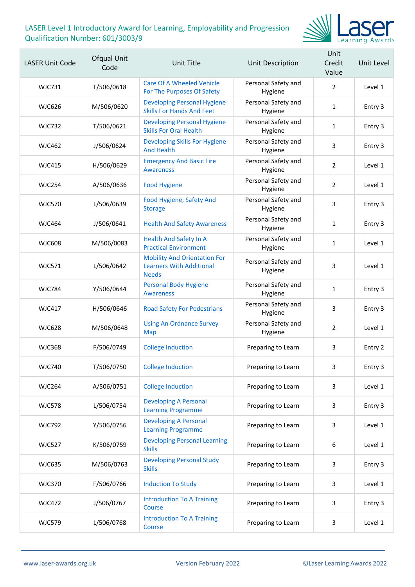

| <b>LASER Unit Code</b> | Ofqual Unit<br>Code | Unit Title                                                                             | Unit Description               | Unit<br>Credit<br>Value | Unit Level |
|------------------------|---------------------|----------------------------------------------------------------------------------------|--------------------------------|-------------------------|------------|
| WJC731                 | T/506/0618          | Care Of A Wheeled Vehicle<br>For The Purposes Of Safety                                | Personal Safety and<br>Hygiene | $\overline{2}$          | Level 1    |
| <b>WJC626</b>          | M/506/0620          | <b>Developing Personal Hygiene</b><br><b>Skills For Hands And Feet</b>                 | Personal Safety and<br>Hygiene | $\mathbf{1}$            | Entry 3    |
| <b>WJC732</b>          | T/506/0621          | <b>Developing Personal Hygiene</b><br><b>Skills For Oral Health</b>                    | Personal Safety and<br>Hygiene | 1                       | Entry 3    |
| WJC462                 | J/506/0624          | Developing Skills For Hygiene<br><b>And Health</b>                                     | Personal Safety and<br>Hygiene | 3                       | Entry 3    |
| WJC415                 | H/506/0629          | <b>Emergency And Basic Fire</b><br><b>Awareness</b>                                    | Personal Safety and<br>Hygiene | 2                       | Level 1    |
| <b>WJC254</b>          | A/506/0636          | <b>Food Hygiene</b>                                                                    | Personal Safety and<br>Hygiene | $\overline{2}$          | Level 1    |
| <b>WJC570</b>          | L/506/0639          | Food Hygiene, Safety And<br><b>Storage</b>                                             | Personal Safety and<br>Hygiene | 3                       | Entry 3    |
| <b>WJC464</b>          | J/506/0641          | <b>Health And Safety Awareness</b>                                                     | Personal Safety and<br>Hygiene | $\mathbf{1}$            | Entry 3    |
| WJC608                 | M/506/0083          | <b>Health And Safety In A</b><br><b>Practical Environment</b>                          | Personal Safety and<br>Hygiene | $\mathbf{1}$            | Level 1    |
| <b>WJC571</b>          | L/506/0642          | <b>Mobility And Orientation For</b><br><b>Learners With Additional</b><br><b>Needs</b> | Personal Safety and<br>Hygiene | 3                       | Level 1    |
| <b>WJC784</b>          | Y/506/0644          | <b>Personal Body Hygiene</b><br><b>Awareness</b>                                       | Personal Safety and<br>Hygiene | $\mathbf{1}$            | Entry 3    |
| <b>WJC417</b>          | H/506/0646          | <b>Road Safety For Pedestrians</b>                                                     | Personal Safety and<br>Hygiene | 3                       | Entry 3    |
| <b>WJC628</b>          | M/506/0648          | <b>Using An Ordnance Survey</b><br>Map                                                 | Personal Safety and<br>Hygiene | 2                       | Level 1    |
| <b>WJC368</b>          | F/506/0749          | <b>College Induction</b>                                                               | Preparing to Learn             | 3                       | Entry 2    |
| <b>WJC740</b>          | T/506/0750          | <b>College Induction</b>                                                               | Preparing to Learn             | 3                       | Entry 3    |
| <b>WJC264</b>          | A/506/0751          | <b>College Induction</b>                                                               | Preparing to Learn             | 3                       | Level 1    |
| <b>WJC578</b>          | L/506/0754          | <b>Developing A Personal</b><br><b>Learning Programme</b>                              | Preparing to Learn             | 3                       | Entry 3    |
| <b>WJC792</b>          | Y/506/0756          | <b>Developing A Personal</b><br><b>Learning Programme</b>                              | Preparing to Learn             | 3                       | Level 1    |
| <b>WJC527</b>          | K/506/0759          | <b>Developing Personal Learning</b><br><b>Skills</b>                                   | Preparing to Learn             | $\boldsymbol{6}$        | Level 1    |
| <b>WJC635</b>          | M/506/0763          | <b>Developing Personal Study</b><br><b>Skills</b>                                      | Preparing to Learn             | 3                       | Entry 3    |
| <b>WJC370</b>          | F/506/0766          | <b>Induction To Study</b>                                                              | Preparing to Learn             | 3                       | Level 1    |
| <b>WJC472</b>          | J/506/0767          | <b>Introduction To A Training</b><br>Course                                            | Preparing to Learn             | 3                       | Entry 3    |
| <b>WJC579</b>          | L/506/0768          | <b>Introduction To A Training</b><br>Course                                            | Preparing to Learn             | 3                       | Level 1    |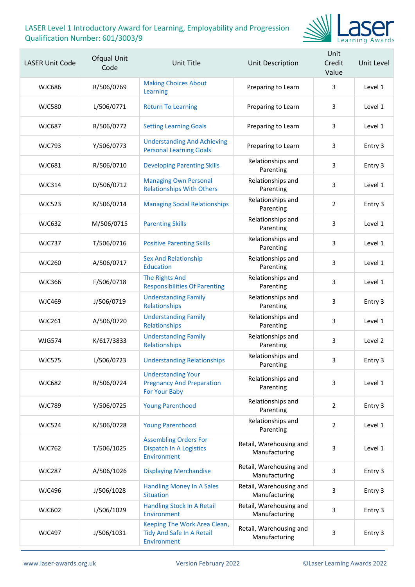

| <b>LASER Unit Code</b> | Ofqual Unit<br>Code | Unit Title                                                                     | Unit Description                         | Unit<br>Credit<br>Value | Unit Level |
|------------------------|---------------------|--------------------------------------------------------------------------------|------------------------------------------|-------------------------|------------|
| <b>WJC686</b>          | R/506/0769          | <b>Making Choices About</b><br>Learning                                        | Preparing to Learn                       | 3                       | Level 1    |
| <b>WJC580</b>          | L/506/0771          | <b>Return To Learning</b>                                                      | Preparing to Learn                       | 3                       | Level 1    |
| <b>WJC687</b>          | R/506/0772          | <b>Setting Learning Goals</b>                                                  | Preparing to Learn                       | 3                       | Level 1    |
| <b>WJC793</b>          | Y/506/0773          | <b>Understanding And Achieving</b><br><b>Personal Learning Goals</b>           | Preparing to Learn                       | 3                       | Entry 3    |
| <b>WJC681</b>          | R/506/0710          | <b>Developing Parenting Skills</b>                                             | Relationships and<br>Parenting           | 3                       | Entry 3    |
| <b>WJC314</b>          | D/506/0712          | <b>Managing Own Personal</b><br><b>Relationships With Others</b>               | Relationships and<br>Parenting           | 3                       | Level 1    |
| <b>WJC523</b>          | K/506/0714          | <b>Managing Social Relationships</b>                                           | Relationships and<br>Parenting           | $\overline{2}$          | Entry 3    |
| <b>WJC632</b>          | M/506/0715          | <b>Parenting Skills</b>                                                        | Relationships and<br>Parenting           | 3                       | Level 1    |
| <b>WJC737</b>          | T/506/0716          | <b>Positive Parenting Skills</b>                                               | Relationships and<br>Parenting           | 3                       | Level 1    |
| <b>WJC260</b>          | A/506/0717          | <b>Sex And Relationship</b><br><b>Education</b>                                | Relationships and<br>Parenting           | 3                       | Level 1    |
| <b>WJC366</b>          | F/506/0718          | <b>The Rights And</b><br><b>Responsibilities Of Parenting</b>                  | Relationships and<br>Parenting           | 3                       | Level 1    |
| <b>WJC469</b>          | J/506/0719          | <b>Understanding Family</b><br>Relationships                                   | Relationships and<br>Parenting           | 3                       | Entry 3    |
| <b>WJC261</b>          | A/506/0720          | <b>Understanding Family</b><br>Relationships                                   | Relationships and<br>Parenting           | 3                       | Level 1    |
| <b>WJG574</b>          | K/617/3833          | <b>Understanding Family</b><br>Relationships                                   | Relationships and<br>Parenting           | 3                       | Level 2    |
| <b>WJC575</b>          | L/506/0723          | <b>Understanding Relationships</b>                                             | Relationships and<br>Parenting           | 3                       | Entry 3    |
| <b>WJC682</b>          | R/506/0724          | <b>Understanding Your</b><br><b>Pregnancy And Preparation</b><br>For Your Baby | Relationships and<br>Parenting           | 3                       | Level 1    |
| <b>WJC789</b>          | Y/506/0725          | <b>Young Parenthood</b>                                                        | Relationships and<br>Parenting           | $\overline{2}$          | Entry 3    |
| <b>WJC524</b>          | K/506/0728          | <b>Young Parenthood</b>                                                        | Relationships and<br>Parenting           | $\overline{2}$          | Level 1    |
| <b>WJC762</b>          | T/506/1025          | <b>Assembling Orders For</b><br><b>Dispatch In A Logistics</b><br>Environment  | Retail, Warehousing and<br>Manufacturing | 3                       | Level 1    |
| <b>WJC287</b>          | A/506/1026          | <b>Displaying Merchandise</b>                                                  | Retail, Warehousing and<br>Manufacturing | 3                       | Entry 3    |
| <b>WJC496</b>          | J/506/1028          | <b>Handling Money In A Sales</b><br><b>Situation</b>                           | Retail, Warehousing and<br>Manufacturing | 3                       | Entry 3    |
| WJC602                 | L/506/1029          | Handling Stock In A Retail<br>Environment                                      | Retail, Warehousing and<br>Manufacturing | 3                       | Entry 3    |
| <b>WJC497</b>          | J/506/1031          | Keeping The Work Area Clean,<br>Tidy And Safe In A Retail<br>Environment       | Retail, Warehousing and<br>Manufacturing | 3                       | Entry 3    |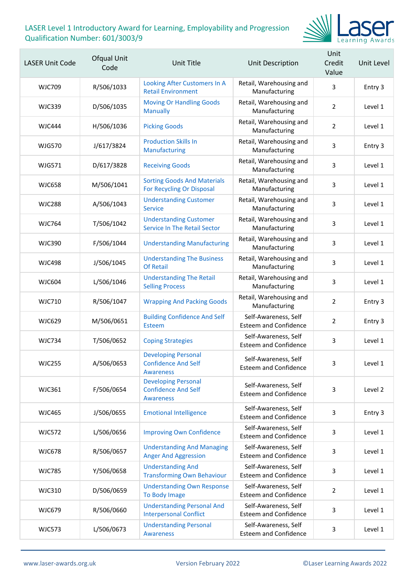

| <b>LASER Unit Code</b> | Ofqual Unit<br>Code | Unit Title                                                                   | Unit Description                                     | Unit<br>Credit<br>Value | Unit Level |
|------------------------|---------------------|------------------------------------------------------------------------------|------------------------------------------------------|-------------------------|------------|
| <b>WJC709</b>          | R/506/1033          | Looking After Customers In A<br><b>Retail Environment</b>                    | Retail, Warehousing and<br>Manufacturing             | 3                       | Entry 3    |
| <b>WJC339</b>          | D/506/1035          | <b>Moving Or Handling Goods</b><br><b>Manually</b>                           | Retail, Warehousing and<br>Manufacturing             | $\overline{2}$          | Level 1    |
| <b>WJC444</b>          | H/506/1036          | <b>Picking Goods</b>                                                         | Retail, Warehousing and<br>Manufacturing             | $\overline{2}$          | Level 1    |
| <b>WJG570</b>          | J/617/3824          | <b>Production Skills In</b><br>Manufacturing                                 | Retail, Warehousing and<br>Manufacturing             | 3                       | Entry 3    |
| <b>WJG571</b>          | D/617/3828          | <b>Receiving Goods</b>                                                       | Retail, Warehousing and<br>Manufacturing             | 3                       | Level 1    |
| <b>WJC658</b>          | M/506/1041          | <b>Sorting Goods And Materials</b><br>For Recycling Or Disposal              | Retail, Warehousing and<br>Manufacturing             | 3                       | Level 1    |
| <b>WJC288</b>          | A/506/1043          | <b>Understanding Customer</b><br><b>Service</b>                              | Retail, Warehousing and<br>Manufacturing             | 3                       | Level 1    |
| <b>WJC764</b>          | T/506/1042          | <b>Understanding Customer</b><br><b>Service In The Retail Sector</b>         | Retail, Warehousing and<br>Manufacturing             | 3                       | Level 1    |
| <b>WJC390</b>          | F/506/1044          | <b>Understanding Manufacturing</b>                                           | Retail, Warehousing and<br>Manufacturing             | 3                       | Level 1    |
| <b>WJC498</b>          | J/506/1045          | <b>Understanding The Business</b><br><b>Of Retail</b>                        | Retail, Warehousing and<br>Manufacturing             | 3                       | Level 1    |
| <b>WJC604</b>          | L/506/1046          | <b>Understanding The Retail</b><br><b>Selling Process</b>                    | Retail, Warehousing and<br>Manufacturing             | 3                       | Level 1    |
| <b>WJC710</b>          | R/506/1047          | <b>Wrapping And Packing Goods</b>                                            | Retail, Warehousing and<br>Manufacturing             | $\overline{2}$          | Entry 3    |
| <b>WJC629</b>          | M/506/0651          | <b>Building Confidence And Self</b><br>Esteem                                | Self-Awareness, Self<br><b>Esteem and Confidence</b> | $\overline{2}$          | Entry 3    |
| <b>WJC734</b>          | T/506/0652          | <b>Coping Strategies</b>                                                     | Self-Awareness, Self<br><b>Esteem and Confidence</b> | 3                       | Level 1    |
| WJC255                 | A/506/0653          | <b>Developing Personal</b><br><b>Confidence And Self</b><br><b>Awareness</b> | Self-Awareness, Self<br><b>Esteem and Confidence</b> | 3                       | Level 1    |
| WJC361                 | F/506/0654          | <b>Developing Personal</b><br><b>Confidence And Self</b><br><b>Awareness</b> | Self-Awareness, Self<br><b>Esteem and Confidence</b> | 3                       | Level 2    |
| <b>WJC465</b>          | J/506/0655          | <b>Emotional Intelligence</b>                                                | Self-Awareness, Self<br><b>Esteem and Confidence</b> | 3                       | Entry 3    |
| <b>WJC572</b>          | L/506/0656          | <b>Improving Own Confidence</b>                                              | Self-Awareness, Self<br><b>Esteem and Confidence</b> | 3                       | Level 1    |
| <b>WJC678</b>          | R/506/0657          | <b>Understanding And Managing</b><br><b>Anger And Aggression</b>             | Self-Awareness, Self<br><b>Esteem and Confidence</b> | 3                       | Level 1    |
| <b>WJC785</b>          | Y/506/0658          | <b>Understanding And</b><br><b>Transforming Own Behaviour</b>                | Self-Awareness, Self<br><b>Esteem and Confidence</b> | 3                       | Level 1    |
| <b>WJC310</b>          | D/506/0659          | <b>Understanding Own Response</b><br>To Body Image                           | Self-Awareness, Self<br><b>Esteem and Confidence</b> | $\overline{2}$          | Level 1    |
| <b>WJC679</b>          | R/506/0660          | <b>Understanding Personal And</b><br><b>Interpersonal Conflict</b>           | Self-Awareness, Self<br><b>Esteem and Confidence</b> | 3                       | Level 1    |
| <b>WJC573</b>          | L/506/0673          | <b>Understanding Personal</b><br>Awareness                                   | Self-Awareness, Self<br><b>Esteem and Confidence</b> | 3                       | Level 1    |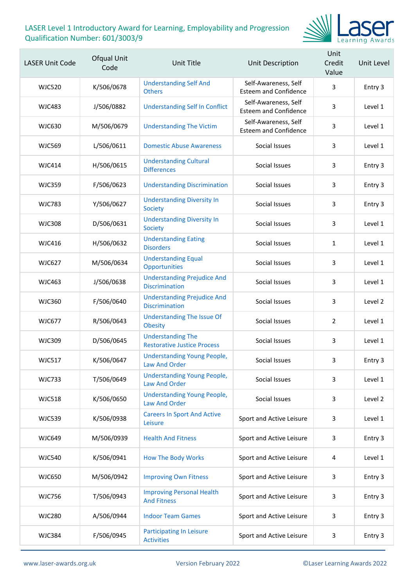

| <b>LASER Unit Code</b> | Ofqual Unit<br>Code | Unit Title                                                     | Unit Description                                     | Unit<br>Credit<br>Value | Unit Level |
|------------------------|---------------------|----------------------------------------------------------------|------------------------------------------------------|-------------------------|------------|
| <b>WJC520</b>          | K/506/0678          | <b>Understanding Self And</b><br><b>Others</b>                 | Self-Awareness, Self<br><b>Esteem and Confidence</b> | 3                       | Entry 3    |
| WJC483                 | J/506/0882          | <b>Understanding Self In Conflict</b>                          | Self-Awareness, Self<br><b>Esteem and Confidence</b> | 3                       | Level 1    |
| <b>WJC630</b>          | M/506/0679          | <b>Understanding The Victim</b>                                | Self-Awareness, Self<br><b>Esteem and Confidence</b> | 3                       | Level 1    |
| <b>WJC569</b>          | L/506/0611          | <b>Domestic Abuse Awareness</b>                                | Social Issues                                        | 3                       | Level 1    |
| <b>WJC414</b>          | H/506/0615          | <b>Understanding Cultural</b><br><b>Differences</b>            | Social Issues                                        | 3                       | Entry 3    |
| <b>WJC359</b>          | F/506/0623          | <b>Understanding Discrimination</b>                            | Social Issues                                        | 3                       | Entry 3    |
| <b>WJC783</b>          | Y/506/0627          | <b>Understanding Diversity In</b><br>Society                   | Social Issues                                        | 3                       | Entry 3    |
| <b>WJC308</b>          | D/506/0631          | <b>Understanding Diversity In</b><br>Society                   | Social Issues                                        | 3                       | Level 1    |
| <b>WJC416</b>          | H/506/0632          | <b>Understanding Eating</b><br><b>Disorders</b>                | Social Issues                                        | $\mathbf{1}$            | Level 1    |
| <b>WJC627</b>          | M/506/0634          | <b>Understanding Equal</b><br>Opportunities                    | Social Issues                                        | 3                       | Level 1    |
| <b>WJC463</b>          | J/506/0638          | <b>Understanding Prejudice And</b><br><b>Discrimination</b>    | Social Issues                                        | 3                       | Level 1    |
| <b>WJC360</b>          | F/506/0640          | <b>Understanding Prejudice And</b><br><b>Discrimination</b>    | Social Issues                                        | 3                       | Level 2    |
| <b>WJC677</b>          | R/506/0643          | <b>Understanding The Issue Of</b><br><b>Obesity</b>            | Social Issues                                        | $\overline{2}$          | Level 1    |
| <b>WJC309</b>          | D/506/0645          | <b>Understanding The</b><br><b>Restorative Justice Process</b> | Social Issues                                        | 3                       | Level 1    |
| <b>WJC517</b>          | K/506/0647          | <b>Understanding Young People,</b><br><b>Law And Order</b>     | Social Issues                                        | ર                       | Entry 3    |
| <b>WJC733</b>          | T/506/0649          | <b>Understanding Young People,</b><br><b>Law And Order</b>     | Social Issues                                        | 3                       | Level 1    |
| <b>WJC518</b>          | K/506/0650          | <b>Understanding Young People,</b><br><b>Law And Order</b>     | Social Issues                                        | 3                       | Level 2    |
| <b>WJC539</b>          | K/506/0938          | <b>Careers In Sport And Active</b><br>Leisure                  | Sport and Active Leisure                             | 3                       | Level 1    |
| <b>WJC649</b>          | M/506/0939          | <b>Health And Fitness</b>                                      | Sport and Active Leisure                             | 3                       | Entry 3    |
| <b>WJC540</b>          | K/506/0941          | <b>How The Body Works</b>                                      | Sport and Active Leisure                             | 4                       | Level 1    |
| <b>WJC650</b>          | M/506/0942          | <b>Improving Own Fitness</b>                                   | Sport and Active Leisure                             | 3                       | Entry 3    |
| <b>WJC756</b>          | T/506/0943          | <b>Improving Personal Health</b><br><b>And Fitness</b>         | Sport and Active Leisure                             | 3                       | Entry 3    |
| <b>WJC280</b>          | A/506/0944          | <b>Indoor Team Games</b>                                       | Sport and Active Leisure                             | 3                       | Entry 3    |
| <b>WJC384</b>          | F/506/0945          | <b>Participating In Leisure</b><br><b>Activities</b>           | Sport and Active Leisure                             | 3                       | Entry 3    |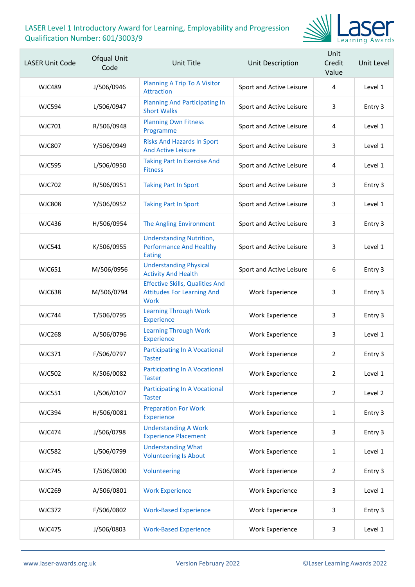

| <b>LASER Unit Code</b> | Ofqual Unit<br>Code | <b>Unit Title</b>                                                                          | Unit Description         | Unit<br>Credit<br>Value | Unit Level |
|------------------------|---------------------|--------------------------------------------------------------------------------------------|--------------------------|-------------------------|------------|
| WJC489                 | J/506/0946          | <b>Planning A Trip To A Visitor</b><br><b>Attraction</b>                                   | Sport and Active Leisure | 4                       | Level 1    |
| <b>WJC594</b>          | L/506/0947          | <b>Planning And Participating In</b><br><b>Short Walks</b>                                 | Sport and Active Leisure | 3                       | Entry 3    |
| WJC701                 | R/506/0948          | <b>Planning Own Fitness</b><br>Programme                                                   | Sport and Active Leisure | 4                       | Level 1    |
| <b>WJC807</b>          | Y/506/0949          | <b>Risks And Hazards In Sport</b><br><b>And Active Leisure</b>                             | Sport and Active Leisure | 3                       | Level 1    |
| <b>WJC595</b>          | L/506/0950          | <b>Taking Part In Exercise And</b><br><b>Fitness</b>                                       | Sport and Active Leisure | 4                       | Level 1    |
| <b>WJC702</b>          | R/506/0951          | <b>Taking Part In Sport</b>                                                                | Sport and Active Leisure | 3                       | Entry 3    |
| <b>WJC808</b>          | Y/506/0952          | <b>Taking Part In Sport</b>                                                                | Sport and Active Leisure | 3                       | Level 1    |
| <b>WJC436</b>          | H/506/0954          | <b>The Angling Environment</b>                                                             | Sport and Active Leisure | 3                       | Entry 3    |
| <b>WJC541</b>          | K/506/0955          | <b>Understanding Nutrition,</b><br><b>Performance And Healthy</b><br><b>Eating</b>         | Sport and Active Leisure | 3                       | Level 1    |
| <b>WJC651</b>          | M/506/0956          | <b>Understanding Physical</b><br><b>Activity And Health</b>                                | Sport and Active Leisure | 6                       | Entry 3    |
| <b>WJC638</b>          | M/506/0794          | <b>Effective Skills, Qualities And</b><br><b>Attitudes For Learning And</b><br><b>Work</b> | <b>Work Experience</b>   | 3                       | Entry 3    |
| <b>WJC744</b>          | T/506/0795          | <b>Learning Through Work</b><br><b>Experience</b>                                          | <b>Work Experience</b>   | 3                       | Entry 3    |
| <b>WJC268</b>          | A/506/0796          | <b>Learning Through Work</b><br><b>Experience</b>                                          | <b>Work Experience</b>   | 3                       | Level 1    |
| <b>WJC371</b>          | F/506/0797          | <b>Participating In A Vocational</b><br><b>Taster</b>                                      | <b>Work Experience</b>   | $\overline{2}$          | Entry 3    |
| <b>WJC502</b>          | K/506/0082          | <b>Participating In A Vocational</b><br>Taster                                             | <b>Work Experience</b>   | $\overline{2}$          | Level 1    |
| <b>WJC551</b>          | L/506/0107          | <b>Participating In A Vocational</b><br><b>Taster</b>                                      | <b>Work Experience</b>   | $\overline{2}$          | Level 2    |
| <b>WJC394</b>          | H/506/0081          | <b>Preparation For Work</b><br>Experience                                                  | <b>Work Experience</b>   | $\mathbf{1}$            | Entry 3    |
| <b>WJC474</b>          | J/506/0798          | <b>Understanding A Work</b><br><b>Experience Placement</b>                                 | Work Experience          | 3                       | Entry 3    |
| <b>WJC582</b>          | L/506/0799          | <b>Understanding What</b><br><b>Volunteering Is About</b>                                  | <b>Work Experience</b>   | $\mathbf{1}$            | Level 1    |
| <b>WJC745</b>          | T/506/0800          | Volunteering                                                                               | <b>Work Experience</b>   | $\overline{2}$          | Entry 3    |
| <b>WJC269</b>          | A/506/0801          | <b>Work Experience</b>                                                                     | Work Experience          | 3                       | Level 1    |
| <b>WJC372</b>          | F/506/0802          | <b>Work-Based Experience</b>                                                               | Work Experience          | 3                       | Entry 3    |
| <b>WJC475</b>          | J/506/0803          | <b>Work-Based Experience</b>                                                               | Work Experience          | 3                       | Level 1    |